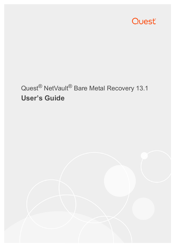

## Quest® NetVault® Bare Metal Recovery 13.1 **User's Guide**

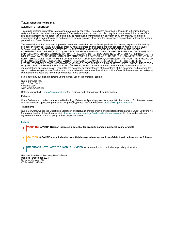#### **© 2021 Quest Software Inc.**

#### **ALL RIGHTS RESERVED.**

This guide contains proprietary information protected by copyright. The software described in this guide is furnished under a software license or nondisclosure agreement. This software may be used or copied only in accordance with the terms of the applicable agreement. No part of this guide may be reproduced or transmitted in any form or by any means, electronic or mechanical, including photocopying and recording for any purpose other than the purchaser's personal use without the written permission of Quest Software Inc.

The information in this document is provided in connection with Quest Software products. No license, express or implied, by estoppel or otherwise, to any intellectual property right is granted by this document or in connection with the sale of Quest Software products. EXCEPT AS SET FORTH IN THE TERMS AND CONDITIONS AS SPECIFIED IN THE LICENSE AGREEMENT FOR THIS PRODUCT, QUEST SOFTWARE ASSUMES NO LIABILITY WHATSOEVER AND DISCLAIMS ANY EXPRESS, IMPLIED OR STATUTORY WARRANTY RELATING TO ITS PRODUCTS INCLUDING, BUT NOT LIMITED TO, THE IMPLIED WARRANTY OF MERCHANTABILITY, FITNESS FOR A PARTICULAR PURPOSE, OR NON-INFRINGEMENT. IN NO EVENT SHALL QUEST SOFTWARE BE LIABLE FOR ANY DIRECT, INDIRECT, CONSEQUENTIAL, PUNITIVE, SPECIAL OR INCIDENTAL DAMAGES (INCLUDING, WITHOUT LIMITATION, DAMAGES FOR LOSS OF PROFITS, BUSINESS INTERRUPTION OR LOSS OF INFORMATION) ARISING OUT OF THE USE OR INABILITY TO USE THIS DOCUMENT, EVEN IF QUEST SOFTWARE HAS BEEN ADVISED OF THE POSSIBILITY OF SUCH DAMAGES. Quest Software makes no representations or warranties with respect to the accuracy or completeness of the contents of this document and reserves the right to make changes to specifications and product descriptions at any time without notice. Quest Software does not make any commitment to update the information contained in this document.

If you have any questions regarding your potential use of this material, contact:

Quest Software Inc. Attn: LEGAL Dept. 4 Polaris Way Aliso Viejo, CA 92656

Refer to our website [\(https://www.quest.com](https://www.quest.com)) for regional and international office information.

#### **Patents**

Quest Software is proud of our advanced technology. Patents and pending patents may apply to this product. For the most current information about applicable patents for this product, please visit our website at [https://www.quest.com/legal.](https://www.quest.com/legal)

#### **Trademarks**

Quest Software, Quest, the Quest logo, QoreStor, and NetVault are trademarks and registered trademarks of Quest Software Inc. For a complete list of Quest marks, visit [https://www.quest.com/legal/trademark-information.aspx.](https://www.quest.com/legal/trademark-information.aspx) All other trademarks and registered trademarks are property of their respective owners.

#### **Legend**

- **WARNING: A WARNING icon indicates a potential for property damage, personal injury, or death.**
- **CAUTION: A CAUTION icon indicates potential damage to hardware or loss of data if instructions are not followed.** Ţ

**IMPORTANT NOTE**, **NOTE**, **TIP**, **MOBILE**, or **VIDEO:** An information icon indicates supporting information.f

NetVault Bare Metal Recovery User's Guide Updated - December 2021 Software Version - 13.1 VOG-101-13.1-EN-01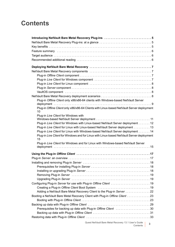## **Contents**

| Plug-in Offline Client only x86/x86-64 clients with Windows-based NetVault Server                                                                                                                                                                 |
|---------------------------------------------------------------------------------------------------------------------------------------------------------------------------------------------------------------------------------------------------|
|                                                                                                                                                                                                                                                   |
| Plug-in Offline Client only x86/x86-64 Clients with Linux-based NetVault Server deployment<br>10                                                                                                                                                  |
| Plug-in Live Client for Windows with                                                                                                                                                                                                              |
|                                                                                                                                                                                                                                                   |
| Plug-in Live Client for Windows with Linux-based NetVault Server deployment 12                                                                                                                                                                    |
| Plug-in Live Client for Linux with Linux-based NetVault Server deployment 13                                                                                                                                                                      |
| Plug-in Live Client for Linux with Windows-based NetVault Server deployment 14                                                                                                                                                                    |
| Plug-in Live Client for Windows and for Linux with Linux-based NetVault Server deployment<br>15                                                                                                                                                   |
| Plug-in Live Client for Windows and for Linux with Windows-based NetVault Server                                                                                                                                                                  |
|                                                                                                                                                                                                                                                   |
|                                                                                                                                                                                                                                                   |
|                                                                                                                                                                                                                                                   |
|                                                                                                                                                                                                                                                   |
|                                                                                                                                                                                                                                                   |
|                                                                                                                                                                                                                                                   |
|                                                                                                                                                                                                                                                   |
|                                                                                                                                                                                                                                                   |
|                                                                                                                                                                                                                                                   |
|                                                                                                                                                                                                                                                   |
| Adding a NetVault Bare Metal Recovery Client to the Plug-in Server 22                                                                                                                                                                             |
| Booting a NetVault Bare Metal Recovery Client with Plug-in Offline Client 23                                                                                                                                                                      |
|                                                                                                                                                                                                                                                   |
|                                                                                                                                                                                                                                                   |
| Prerequisites for backing up data with Plug-in Offline Client 30                                                                                                                                                                                  |
|                                                                                                                                                                                                                                                   |
|                                                                                                                                                                                                                                                   |
| $Q_{11}$ and $Q_{21}$ and $Q_{32}$ and $Q_{41}$ and $Q_{52}$ are $Q_{53}$ and $Q_{64}$ and $Q_{74}$ and $Q_{74}$ and $Q_{74}$ and $Q_{74}$ and $Q_{74}$ and $Q_{74}$ and $Q_{74}$ and $Q_{74}$ and $Q_{74}$ and $Q_{74}$ and $Q_{74}$ and $Q_{74$ |

Quest NetVault Bare Metal Recovery 13.1 User's Guide Contents **<sup>3</sup>**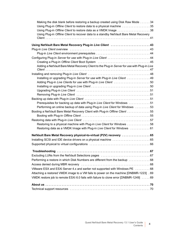| Making the disk blank before restoring a backup created using Disk Raw Mode 34               |
|----------------------------------------------------------------------------------------------|
| Using Plug-in Offline Client to restore data to a physical machine 35                        |
| Using Plug-in Offline Client to restore data as a VMDK Image 38                              |
| Using Plug-in Offline Client to recover data to a standby NetVault Bare Metal Recovery       |
|                                                                                              |
| Using NetVault Bare Metal Recovery Plug-in Live Client  43                                   |
|                                                                                              |
| Plug-in Live Client environment prerequisites  44                                            |
| Configuring Plug-in Server for use with Plug-in Live Client  44                              |
|                                                                                              |
| Adding a NetVault Bare Metal Recovery Client to the Plug-in Server for use with Plug-in Live |
|                                                                                              |
| Installing or upgrading Plug-in Server for use with Plug-in Live Client  49                  |
|                                                                                              |
|                                                                                              |
|                                                                                              |
|                                                                                              |
|                                                                                              |
| Prerequisites for backing up data with Plug-in Live Client for Windows 51                    |
| Performing an online backup of data using Plug-in Live Client for Windows  53                |
| Booting a NetVault Bare Metal Recovery Client with Plug-in Offline Client 55                 |
|                                                                                              |
|                                                                                              |
| Restoring to a physical machine with Plug-in Live Client for Windows 58                      |
| Restoring data as a VMDK Image with Plug-in Live Client for Windows  61                      |
| NetVault Bare Metal Recovery physical-to-virtual (P2V) recovery 65                           |
|                                                                                              |
|                                                                                              |
|                                                                                              |
|                                                                                              |
| Performing a restore in which Disk Numbers are different from the backup 68                  |
|                                                                                              |
| VMware ESX and ESXi Server 4.x and earlier not supported with Windows PE 68                  |
| Attaching a restored VMDK image to a VM fails to power on the machine [DNBMR-1223] . 69      |
| VMDK restore job to remote ESXi 6.0 fails with failure to clone error [DNBMR-1249] 69        |
|                                                                                              |
|                                                                                              |
|                                                                                              |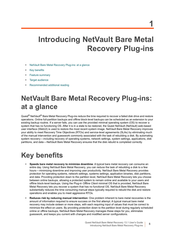# <span id="page-4-0"></span>**Introducing NetVault Bare Metal**

**Recovery Plug-ins**

- **•** [NetVault Bare Metal Recovery Plug-ins: at a glance](#page-4-1)
- **•** [Key benefits](#page-4-2)
- **•** [Feature summary](#page-5-0)
- **•** [Target audience](#page-5-1)
- **•** [Recommended additional reading](#page-5-2)

## <span id="page-4-1"></span>**NetVault Bare Metal Recovery Plug-ins: at a glance**

Quest<sup>®</sup> NetVault<sup>®</sup> Bare Metal Recovery Plug-ins reduce the time required to recover a failed disk drive and restore operations. Online full-partition backups and offline block-level backups can be scheduled as an extension to your existing backup routine. If a server fails, you can use the provided minimal operating system (OS) to recover a system that has no functioning OS. After it is in a state to be restored, the Quest NetVault (NetVault) web-based user interface (WebUI) is used to restore the most recent system image. NetVault Bare Metal Recovery improves your ability to meet Recovery Time Objectives (RTOs) and service-level agreements (SLAs) by eliminating much of the manual intervention and guesswork commonly associated with the task of rebuilding a disk. By automating system recovery—including recovery of operating systems, network settings, system settings, applications, disk partitions, and data—NetVault Bare Metal Recovery ensures that the disk rebuild is completed correctly.

## <span id="page-4-2"></span>**Key benefits**

- **• Speeds bare metal recovery to minimize downtime**: A typical bare metal recovery can consume an entire day. Using NetVault Bare Metal Recovery, you can reduce the task of rebuilding a disk to a few hours—minimizing downtime and improving user productivity. NetVault Bare Metal Recovery provides protection for operating systems, network settings, systems settings, application binaries, disk partitions, and data. Providing protection down to the partition level, NetVault Bare Metal Recovery lets you choose between online backups, allowing a protected system to remain online and available to your users and offline block-level backups. Using the Plug-in *Offline Client* minimal OS that is provided, NetVault Bare Metal Recovery lets you recover a system that has no functional OS. NetVault Bare Metal Recovery substantially reduces the time consuming manual steps typically required to rebuild the disk and restore operations and enables you to meet aggressive RTOs.
- **• Reduces risk by reducing manual intervention**: One problem inherent to bare metal recoveries is the amount of information required to ensure success on the first attempt. A typical manual bare metal recovery may include sixteen or more steps, with each requiring input of values that must be correct to minimize the effect on users. By providing protection down to the partition level during regularly scheduled online or offline backups, NetVault Bare Metal Recovery manages these steps for you, eliminates guesswork, and keeps you current with changes and modified server configurations.

**5**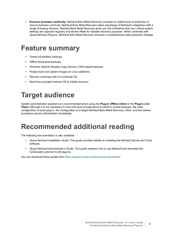**• Ensures business continuity**: NetVault Bare Metal Recovery provides an added level of protection to ensure business continuity. NetVault Bare Metal Recovery takes advantage of NetVault's integration with a range of backup devices. NetVault Bare Metal Recovery gives you the confidence that your critical system settings are captured regularly and stored offsite for disaster-recovery purposes. When combined with Quest NetVault Plug-ins, NetVault Bare Metal Recovery ensures a comprehensive data-protection strategy.

## <span id="page-5-0"></span>**Feature summary**

- **•** Online full partition backups
- **•** Offline block-level backups
- **•** Windows Volume Shadow Copy Service (VSS)-based backups
- **•** Protect boot and system Images on Linux platforms
- **•** Recover machines with no functional OS
- **•** Boot from provided minimal OS to initiate recovery

## <span id="page-5-1"></span>**Target audience**

System administration experience is recommended when using the **Plug-in** *Offline Client* or the **Plug-in** *Live Client*. Although it is not necessary to have this level of experience to perform routine backups, the initial configuration of each plug-in, the configuration of a target NetVault Bare Metal Recovery Client, and the restore procedure require administrator knowledge.

## <span id="page-5-2"></span>**Recommended additional reading**

The following documentation is also available:

- **•** *Quest NetVault Installation Guide:* This guide provides details on installing the NetVault Server and Client software.
- **•** *Quest NetVault Administrator's Guide:* This guide explains how to use NetVault and describes the functionality common to all plug-ins.

You can download these guides from [https://support.quest.com/technical-documents/.](https://support.quest.com/technical-documents/)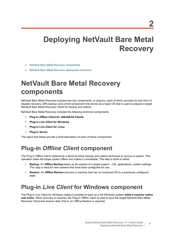## <span id="page-6-0"></span>**Deploying NetVault Bare Metal Recovery**

- **•** [NetVault Bare Metal Recovery components](#page-6-1)
- **•** [NetVault Bare Metal Recovery deployment scenarios](#page-7-3)

## <span id="page-6-1"></span>**NetVault Bare Metal Recovery components**

NetVault Bare Metal Recovery includes two key components, or plug-ins, each of which provides its own form of disaster recovery (DR) backup, and a third component that serves as a basic OS that is used to prepare a target NetVault Bare Metal Recovery Client for backup and restore.

NetVault Bare Metal Recovery includes the following technical components:

- **• Plug-in** *Offline Client* **for x86/x86-64 Clients**
- **• Plug-in** *Live Client* **for Windows**
- **• Plug-in** *Live Client* **for Linux**
- **• Plug-in** *Server*

The topics that follow provide a brief description of each of these components.

### <span id="page-6-2"></span>**Plug-in** *Offline Client* **component**

The Plug-in *Offline Client* implements a block-by-block backup and restore technique to recover a system. This operation takes the target system offline and makes it unavailable. This step is done to either:

- **• Backup**: An *Offline Backup* backs up all aspects of a target system—OS, applications, system settings. This step is ideal for new systems that have been configured for use.
- **• Restore**: An *Offline Restore* recovers a machine that has no functional OS to a previously configured state.

### <span id="page-6-3"></span>**Plug-in** *Live Client* **for Windows component**

The Plug-in *Live Client* for Windows makes it possible to back up a full Windows system *while it remains online and active*. When recovery is required, the Plug-in *Offline Client* is used to boot the target NetVault Bare Metal Recovery Client and recover data; that is, an Offline Restore is required.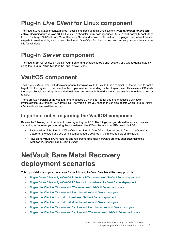## <span id="page-7-0"></span>**Plug-in** *Live Client* **for Linux component**

The Plug-in *Live Client* for Linux makes it possible to back up a full Linux system *while it remains online and active*. Beginning with version 13.1, Plug-in *Live Client* for Linux no longer uses Storix, a third-party DR boot utility, to boot the target NetVault Bare Metal Recovery Client and recover data. Instead, the plug-in uses a block-based snapshot kernel module, which makes the Plug-in *Live Client* for Linux backup and recovery process the same as it is for Windows.

### <span id="page-7-1"></span>**Plug-in** *Server* **component**

The Plug-in *Server* resides on the NetVault Server and enables backup and recovery of a target client's data by using the Plug-in *Offline Client* or the Plug-in *Live Client*.

### <span id="page-7-2"></span>**VaultOS component**

The Plug-in *Offline Client* includes a component known as VaultOS. VaultOS is a minimal OS that is used to boot a target DR client system to prepare it for backup or restore, depending on the plug-in in use. This minimal OS starts the target client, loads all applicable device drivers, and leaves its hard drive in a state suitable for either backup or restore.

There are two versions of the VaultOS, one that uses a Linux boot loader and one that uses a Windows Preinstallation Environment (Windows PE). The version that you choose to use also affects which Plug-in *Offline Client* features are available to use.

#### **Important notes regarding the VaultOS component**

Review the following list of important notes regarding VaultOS. The things that you should be aware of varies depending on whether you are using the Linux-based VaultOS or the Windows PE-based VaultOS.

- **•** Each version of the Plug-in *Offline Client* and Plug-in *Live Client* offers a specific form of the VaultOS. Details on the setup and use of this component are covered in the relevant topic of this guide.
- **•** Physical-to-virtual (P2V) restores and restores to dissimilar hardware are only supported using the Windows PE-based Plug-in *Offline Client*.

## <span id="page-7-3"></span>**NetVault Bare Metal Recovery deployment scenarios**

This topic details deployment scenarios for the following NetVault Bare Metal Recovery products.

- **•** [Plug-in Offline Client only x86/x86-64 clients with Windows-based NetVault Server deployment](#page-8-0)
- **•** [Plug-in Offline Client only x86/x86-64 Clients with Linux-based NetVault Server deployment](#page-9-0)
- **•** [Plug-in Live Client for Windows with Windows-based NetVault Server deployment](#page-10-0)
- **•** [Plug-in Live Client for Windows with Linux-based NetVault Server deployment](#page-11-0)
- **•** [Plug-in Live Client for Linux with Linux-based NetVault Server deployment](#page-12-0)
- **•** [Plug-in Live Client for Linux with Windows-based NetVault Server deployment](#page-13-0)
- **•** [Plug-in Live Client for Windows and for Linux with Linux-based NetVault Server deployment](#page-14-0)
- **•** [Plug-in Live Client for Windows and for Linux with Windows-based NetVault Server deployment](#page-14-1)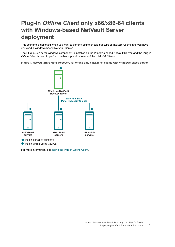### <span id="page-8-0"></span>**Plug-in** *Offline Client* **only x86/x86-64 clients with Windows-based NetVault Server deployment**

This scenario is deployed when you want to perform offline or cold backups of Intel x86 Clients and you have deployed a Windows-based NetVault Server.

The Plug-in *Server* for Windows component is installed on the Windows-based NetVault Server, and the Plug-in *Offline Client* is used to perform the backup and recovery of the Intel x86 Clients.

**Figure 1. NetVault Bare Metal Recovery for offline only x86/x86-64 clients with Windows-based server**



For more information, see [Using the Plug-in Offline Client.](#page-16-2)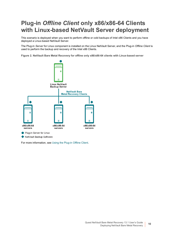## <span id="page-9-0"></span>**Plug-in** *Offline Client* **only x86/x86-64 Clients with Linux-based NetVault Server deployment**

This scenario is deployed when you want to perform offline or cold backups of Intel x86 Clients and you have deployed a Linux-based NetVault Server.

The Plug-in *Server* for Linux component is installed on the Linux NetVault Server, and the Plug-in *Offline Client* is used to perform the backup and recovery of the Intel x86 Clients.

**Figure 2. NetVault Bare Metal Recovery for offline only x86/x86-64 clients with Linux-based server**



For more information, see [Using the Plug-in Offline Client.](#page-16-2)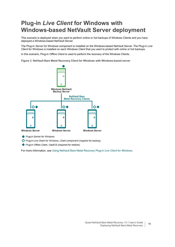## <span id="page-10-0"></span>**Plug-in** *Live Client* **for Windows with Windows-based NetVault Server deployment**

This scenario is deployed when you want to perform online or hot backups of Windows Clients and you have deployed a Windows-based NetVault Server.

The Plug-in *Server* for Windows component is installed on the Windows-based NetVault Server. The Plug-in *Live Client* for Windows is installed on each Windows Client that you want to protect with online or hot backups.

In this scenario, Plug-in *Offline Client* is used to perform the recovery of the Windows Clients.

**Figure 3. NetVault Bare Metal Recovery Client for Windows with Windows-based server**



Plug-in Server for Windows

Plug-in Live Client for Windows, Client component (required for backup)

◆ Plug-in Offline Client, VaultOS (required for restore)

For more information, see Using NetVault Bare Metal Recovery Plug-in *Live Client for Windows*.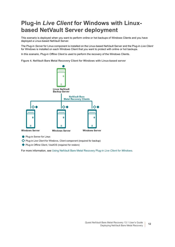## <span id="page-11-0"></span>**Plug-in** *Live Client* **for Windows with Linuxbased NetVault Server deployment**

This scenario is deployed when you want to perform online or hot backups of Windows Clients and you have deployed a Linux-based NetVault Server.

The Plug-in *Server* for Linux component is installed on the Linux-based NetVault Server and the Plug-in *Live Client* for Windows is installed on each Windows Client that you want to protect with online or hot backups.

In this scenario, Plug-in *Offline Client* is used to perform the recovery of the Windows Clients.

**Figure 4. NetVault Bare Metal Recovery Client for Windows with Linux-based server**



Plug-in Server for Linux

Plug-in Live Client for Windows, Client component (required for backup)

◆ Plug-in Offline Client, VaultOS (required for restore)

For more information, see Using NetVault Bare Metal Recovery Plug-in *Live Client for Windows*.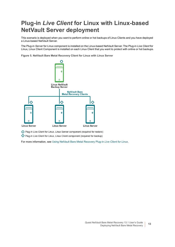## <span id="page-12-0"></span>**Plug-in** *Live Client* **for Linux with Linux-based NetVault Server deployment**

This scenario is deployed when you want to perform online or hot backups of Linux Clients and you have deployed a Linux-based NetVault Server.

The Plug-in *Server* for Linux component is installed on the Linux-based NetVault Server. The Plug-in *Live Client* for Linux, Linux Client Component is installed on each Linux Client that you want to protect with online or hot backups.

**Figure 5. NetVault Bare Metal Recovery Client for Linux with Linux Server**



O Plug-in Live Client for Linux, Linux Server component (required for restore)

Plug-in Live Client for Linux, Linux Client component (required for backup)

For more information, see Using NetVault Bare Metal Recovery Plug-in *Live Client for Linux*.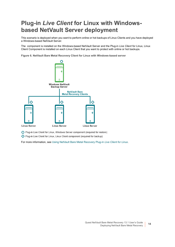## <span id="page-13-0"></span>**Plug-in** *Live Client* **for Linux with Windowsbased NetVault Server deployment**

This scenario is deployed when you want to perform online or hot backups of Linux Clients and you have deployed a Windows-based NetVault Server.

The component is installed on the Windows-based NetVault Server and the Plug-in *Live Client* for Linux, Linux Client Component is installed on each Linux Client that you want to protect with online or hot backups.

**Figure 6. NetVault Bare Metal Recovery Client for Linux with Windows-based server**



O Plug-in Live Client for Linux, Windows Server component (required for restore)

Plug-in Live Client for Linux, Linux Client component (required for backup)

For more information, see Using NetVault Bare Metal Recovery Plug-in *Live Client for Linux*.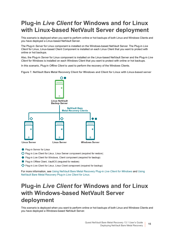## <span id="page-14-0"></span>**Plug-in** *Live Client* **for Windows and for Linux with Linux-based NetVault Server deployment**

This scenario is deployed when you want to perform online or hot backups of both Linux and Windows Clients and you have deployed a Linux-based NetVault Server.

The Plug-in *Server* for Linux component is installed on the Windows-based NetVault Server. The Plug-in *Live Client* for Linux, Linux-based Client Component is installed on each Linux Client that you want to protect with online or hot backups.

Also, the Plug-in *Server* for Linux component is installed on the Linux-based NetVault Server and the Plug-in *Live Client* for Windows is installed on each Windows Client that you want to protect with online or hot backups.

In this scenario, Plug-in *Offline Client* is used to perform the recovery of the Windows Clients.

**Figure 7. NetVault Bare Metal Recovery Client for Windows and Client for Linux with Linux-based server**



Plug-in Server for Linux

O Plug-in Live Client for Linux, Linux Server component (required for restore)

- ◆ Plug-in Live Client for Windows, Client component (required for backup)
- Plug-in Offline Client, VaultOS (required for restore)
- Plug-in Live Client for Linux, Linux Client component (required for backup)

For more information, see Using NetVault Bare Metal Recovery Plug-in *Live Client for Windows* and Using NetVault Bare Metal Recovery Plug-in *Live Client for Linux*.

### <span id="page-14-1"></span>**Plug-in** *Live Client* **for Windows and for Linux with Windows-based NetVault Server deployment**

This scenario is deployed when you want to perform online or hot backups of both Linux and Windows Clients and you have deployed a Windows-based NetVault Server.

> Quest NetVault Bare Metal Recovery 13.1 User's Guide Deploying NetVault Bare Metal Recovery **<sup>15</sup>**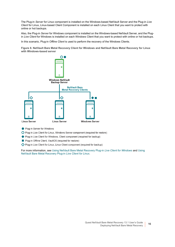The Plug-in *Server* for Linux component is installed on the Windows-based NetVault Server and the Plug-in *Live Client* for Linux, Linux-based Client Component is installed on each Linux Client that you want to protect with online or hot backups.

Also, the Plug-in *Server* for Windows component is installed on the Windows-based NetVault Server, and the Plugin *Live Client* for Windows is installed on each Windows Client that you want to protect with online or hot backups.

In this scenario, Plug-in *Offline Client* is used to perform the recovery of the Windows Clients.

**Figure 8. NetVault Bare Metal Recovery Client for Windows and NetVault Bare Metal Recovery for Linux with Windows-based server**



- Plug-in Server for Windows
- O Plug-in Live Client for Linux, Windows Server component (required for restore)
- ◆ Plug-in Live Client for Windows, Client component (required for backup)
- Plug-in Offline Client, VaultOS (required for restore)
- Plug-in Live Client for Linux, Linux Client component (required for backup)

For more information, see Using NetVault Bare Metal Recovery Plug-in *Live Client for Windows* and Using NetVault Bare Metal Recovery Plug-in *Live Client for Linux*.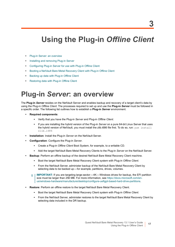## <span id="page-16-2"></span><span id="page-16-0"></span>**Using the Plug-in** *Offline Client*

- **[Plug-in Server: an overview](#page-16-1)**
- **•** [Installing and removing Plug-in Server](#page-17-0)
- **•** [Configuring Plug-in Server for use with Plug-in Offline Client](#page-18-2)
- **•** [Booting a NetVault Bare Metal Recovery Client with Plug-in Offline Client](#page-22-0)
- **•** [Backing up data with Plug-in Offline Client](#page-28-0)
- **•** [Restoring data with Plug-in Offline Client](#page-32-0)

## <span id="page-16-1"></span>**Plug-in** *Server***: an overview**

The **Plug-in** *Server* resides on the NetVault Server and enables backup and recovery of a target client's data by using the Plug-in *Offline Client*. The processes required to set up and use the **Plug-in** *Server* must be followed in a specific order. The following list outlines how to establish a **Plug-in** *Server* environment.

- **• Required components**:
	- **▪** Verify that you have the Plug-in *Server* and Plug-in *Offline Client*.
	- **▪** If you are installing the hybrid version of the Plug-in *Server* on a pure 64-bit Linux Server that uses the hybrid version of NetVault, you must install the zlib.i686 file first. To do so, run: yum install zlib.i686
- **• Installation**: Install the Plug-in *Server* on the NetVault Server.
- **• Configuration**: Configure the Plug-in *Server*.
	- **▪** Create a Plug-in *Offline Client* Boot System, for example, to a writable CD.
	- **▪** Add the target NetVault Bare Metal Recovery Clients to the Plug-in *Server* on the NetVault Server.
- **• Backup**: Perform an offline backup of the desired NetVault Bare Metal Recovery Client machine.
	- **▪** Boot the target NetVault Bare Metal Recovery Client system with Plug-in *Offline Client*.
	- **▪** From the NetVault Server, administer backup of the NetVault Bare Metal Recovery Client by selecting data to be backed up—for example, partitions, drives, volumes.
	- **IMPORTANT:** If you are targeting large-sector—4K—Windows drives for backup, the EFI partition  $\blacksquare$ size must be larger than 256 MB. For more information, see [https://docs.microsoft.com/en](https://docs.microsoft.com/en-us/windows-hardware/manufacture/desktop/configure-uefigpt-based-hard-drive-partitions)[us/windows-hardware/manufacture/desktop/configure-uefigpt-based-hard-drive-partitions.](https://docs.microsoft.com/en-us/windows-hardware/manufacture/desktop/configure-uefigpt-based-hard-drive-partitions)
- **• Restore**: Perform an offline restore to the target NetVault Bare Metal Recovery Client.
	- **▪** Boot the target NetVault Bare Metal Recovery Client system with Plug-in *Offline Client*.
	- **▪** From the NetVault Server, administer restores to the target NetVault Bare Metal Recovery Client by selecting data included in the DR backup.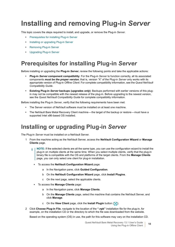## <span id="page-17-0"></span>**Installing and removing Plug-in** *Server*

This topic covers the steps required to install, and upgrade, or remove the Plug-in *Server*.

- **•** [Prerequisites for installing Plug-in Server](#page-17-1)
- **•** [Installing or upgrading Plug-in Server](#page-17-2)
- **•** [Removing Plug-in Server](#page-18-0)
- **•** [Upgrading Plug-in Server](#page-18-1)

### <span id="page-17-1"></span>**Prerequisites for installing Plug-in** *Server*

Before installing or upgrading the **Plug-in** *Server*, review the following points and take the applicable actions:

- **• Plug-in** *Server* **component compatibility**: For the Plug-in *Server* to function correctly, all its associated components *must be the proper version*; that is, version "X" of the Plug-in *Server* only works with its appropriate version of Plug-in *Offline Client*. For complete compatibility information, see the *Quest NetVault Compatibility Guide*.
- **• Existing Plug-in** *Server* **backups (upgrades** *only***)**: Backups performed with earlier versions of this plugin may not be compatible with the newest release of the plug-in. Before upgrading to the newest version, see the *Quest NetVault Compatibility Guide* for complete compatibility information.

Before installing the Plug-in *Server*, verify that the following requirements have been met:

- **•** The Server version of NetVault software must be installed on at least one machine.
- **•** The NetVault Bare Metal Recovery Client machine—the target of the backup or restore—must have a supported Intel x86-based OS installed.

### <span id="page-17-2"></span>**Installing or upgrading Plug-in** *Server*

The Plug-in *Server* must be installed on a NetVault Server.

- 1 From the machine acting as the NetVault Server, access the **NetVault Configuration Wizard** or **Manage Clients** page.
	- **NOTE:** If the selected clients are all the same type, you can use the configuration wizard to install the  $\blacksquare$ plug-in on multiple clients at the same time. When you select multiple clients, verify that the plug-in binary file is compatible with the OS and platforms of the target clients. From the **Manage Clients**  page, you can only select one client for plug-in installation.
		- **▪** To access the **NetVault Configuration Wizard** page:
			- a In the Navigation pane, click **Guided Configuration**.
			- b On the **NetVault Configuration Wizard** page, click **Install Plugins**.
			- c On the next page, select the applicable clients.
		- **▪** To access the **Manage Clients** page:
			- a In the Navigation pane, click **Manage Clients**.
			- b On the **Manage Clients** page, select the machine that contains the NetVault Server, and click **Manage**.
			- c On the **View Client** page, click the **Install Plugin** button (**A**).
- 2 Click **Choose Plug-in File**, navigate to the location of the **".npk"** installation file for the plug-in, for example, on the installation CD or the directory to which the file was downloaded from the website.

Based on the operating system (OS) in use, the path for this software may vary on the installation CD.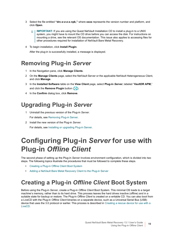- 3 Select the file entitled **"drc-***x-x-x-x***.npk,"** where **xxxx** represents the version number and platform, and click **Open**.
	- **IMPORTANT:** If you are using the Quest NetVault Installation CD to install a plug-in to a UNIX ÷ system, you might have to mount the CD drive before you can access the disk. For instructions on mounting a drive, see the relevant OS documentation. This issue also applies to accessing files for other procedures required for installation of NetVault Bare Metal Recovery.
- 4 To begin installation, click **Install Plugin**.

After the plug-in is successfully installed, a message is displayed.

### <span id="page-18-0"></span>**Removing Plug-in** *Server*

- 1 In the Navigation pane, click **Manage Clients**.
- 2 On the **Manage Clients** page, select the NetVault Server or the applicable NetVault Heterogeneous Client, and click **Manage**.
- 3 In the **Installed Software** table on the **View Client** page, select **Plug-in** *Server*, labeled "**VaultDR APM,**" and click the **Remove Plugin** button (**C**).
- 4 In the **Confirm** dialog box, click **Remove**.

### <span id="page-18-1"></span>**Upgrading Plug-in** *Server*

- 1 Uninstall the previous version of the Plug-in *Server*. For details, see [Removing Plug-in Server](#page-18-0).
- 2 Install the new version of the Plug-in *Server*. For details, see [Installing or upgrading Plug-in Server](#page-17-2).

## <span id="page-18-2"></span>**Configuring Plug-in** *Server* **for use with Plug-in** *Offline Client*

The second phase of setting up the Plug-in *Server* involves environment configuration, which is divided into two steps. The following topics illustrate the procedures that must be followed to complete these steps.

- **•** [Creating a Plug-in Offline Client Boot System](#page-18-3)
- **•** [Adding a NetVault Bare Metal Recovery Client to the Plug-in Server](#page-21-0)

### <span id="page-18-3"></span>**Creating a Plug-in** *Offline Client* **Boot System**

Before using the Plug-in *Server*, create a Plug-in *Offline Client* Boot System. This minimal OS loads to a target machine's memory, rather than to its hard drive. This process leaves the hard drives inactive (offline) and in a suitable state for backup or restore. The Plug-in *Offline Client* is created on a writable CD. You can also boot from a LiveCD with the Plug-in *Offline Client* binaries on a separate device, such as a Universal Serial Bus (USB) device that uses the 3.0 protocol or earlier. This process is described in [Creating a rescue device for use with a](#page-20-0)  [LiveCD.](#page-20-0)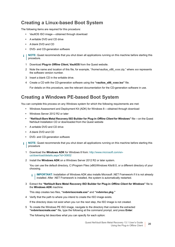### **Creating a Linux-based Boot System**

The following items are required for this procedure:

- **•** VaultOS ISO image—obtained through download
- **•** A writable DVD and CD drive
- **•** A blank DVD and CD
- **•** DVD- and CD-generation software
- **NOTE:** Quest recommends that you shut down all applications running on this machine before starting this f procedure.
	- 1 Download **Plug-in** *Offline Client***, VaultOS** from the Quest website.
	- 2 Note the name and location of this file, for example, "/home/vaultos\_x86\_v*xxx*.zip," where *xxx* represents the software version number.
	- 3 Insert a blank CD in the writable drive.
	- 4 Create a CD with the CD-generation software using the **"vaultos\_x86\_v***xxx***.iso"** file.

For details on this procedure, see the relevant documentation for the CD-generation software in use.

#### **Creating a Windows PE-based Boot System**

You can complete this process on any Windows system for which the following requirements are met:

- **•** Windows Assessment and Deployment Kit (ADK) for Windows 8—obtained through download
- **•** Windows Server 2012 R2 or later
- **• "NetVault Bare Metal Recovery ISO Builder for Plug-in** *Offline Client* **for Windows"** file—on the Quest NetVault Installation CD or downloaded from the Quest website
- **•** A writable DVD and CD drive
- **•** A blank DVD and CD
- **•** DVD- and CD-generation software
- **NOTE:** Quest recommends that you shut down all applications running on this machine before starting this f procedure
	- 1 Download the **Windows ADK** for Windows 8 from: [http://www.microsoft.com/en](http://www.microsoft.com/en-us/download/details.aspx?id=30652)[us/download/details.aspx?id=30652](http://www.microsoft.com/en-us/download/details.aspx?id=30652)
	- 2 Install the **Windows ADK** on a Windows Server 2012 R2 or later system.

You can use the default directory, C:\Program Files (x86)\Windows Kits\8.0, or a different directory of your choosing.

**IMPORTANT:** Installation of Windows ADK also installs Microsoft .NET Framework if it is not already i installed. After .NET Framework is installed, the system is automatically restarted.

3 Extract the **"NetVault Bare Metal Recovery ISO Builder for Plug-in** *Offline Client for Windows***"** file to the **Windows ADK** machine.

This step creates two files, **"nvbmrisocreate.exe"** and **"nvbmriso.pkg."**

4 Verify that the path to where you intend to create the ISO image exists.

If the directory does not exist when you run the next step, the ISO image is not created.

<span id="page-19-0"></span>5 To create the Windows PE ISO image, navigate to the directory that contains the extracted **"nvbmrisocreate.exe"** file, type the following at the command prompt, and press **Enter**:

The following list describes what you can specify for each option: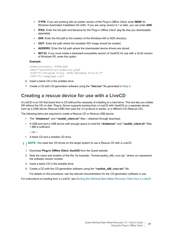- **▪ /TYPE**: If you are working with an earlier version of the Plug-in *Offline Client*, enter **WAIK** for Windows Automated Installation Kit (AIK). If you are using version 6.1 or later, you can enter **ADK**.
- **▪ /PKG**: Enter the full path and filename for the Plug-in *Offline Client* .pkg file that you downloaded separately.
- **▪ /DIR**: Enter the full path to the location of the Windows AIK or ADK directory.
- **▪ /OUT**: Enter the path where the bootable ISO image should be created.
- *IADDDRV:* Enter the full path where the downloaded device drivers are stored.
- **/BIT:32:** If you must create a backward-compatible version of VaultOS for use with a 32-bit version of Windows PE, enter this option.

#### **Example:**

```
nvbmrisocreate /TYPE:ADK
/PKG:"<pathToFile>\nvbmriso.pkg"
/DIR:"C:\Program Files (x86)\Windows Kits\8.0"
/OUT:"C:\temp\bmr.iso"
```
- 6 Insert a blank CD in the writable drive.
- 7 Create a CD with CD-generation software using the **"bmr.iso"** file generated in [Step 5.](#page-19-0)

#### <span id="page-20-0"></span>**Creating a rescue device for use with a LiveCD**

A LiveCD is an OS that boots from a CD without the necessity of installing to a hard drive. This tool lets you initiate DR without the OS on disk. Plug-in *Server* supports booting from a LiveCD with VaultOS on a separate device, such as a USB device (Rescue USB) that uses the 3.0 protocol or earlier, or a different CD (Rescue CD).

The following items are required to create a Rescue CD or Rescue USB device:

- **•** The **"drdaemon"** and **"vaultdr\_client.sh"** files—obtained through download.
- **•** A USB port and a USB device with enough space to hold the **"drdaemon"** and **"vaultdr\_client.sh"** files; 1 MB is sufficient,

 $-$ or $-$ 

- **•** A blank CD and a writable CD drive.
- **i** | NOTE: You need two CD drives on the target system to use a Rescue CD with a LiveCD.
	- 1 Download **Plug-in** *Offline Client***, VaultOS** from the Quest website.
	- 2 Note the name and location of this file, for example, "/home/vaultos\_x86\_v*xxx*.zip," where *xxx* represents the software version number.
	- 3 Insert a blank CD in the writable drive.
	- 4 Create a CD with the CD-generation software using the **"vaultos\_x86\_v***xxx***.iso"** file.

For details on this procedure, see the relevant documentation for the CD-generation software in use.

For instructions on booting from a LiveCD, see [Booting the NetVault Bare Metal Recovery Client from a LiveCD](#page-27-0).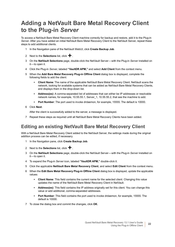### <span id="page-21-0"></span>**Adding a NetVault Bare Metal Recovery Client to the Plug-in** *Server*

To access a NetVault Bare Metal Recovery Client machine correctly for backup and restore, add it to the Plug-in *Server*. After you have added an initial NetVault Bare Metal Recovery Client to the NetVault Server, repeat these steps to add additional clients.

- 1 In the Navigation pane of the NetVault WebUI, click **Create Backup Job**.
- 2 Next to the **Selections** list, click  $\textbf{+}$ .
- 3 On the **NetVault Selections** page, double-click the NetVault Server—with the Plug-in *Server* installed on it—to open it.
- 4 Click the Plug-in *Server*, labeled **"VaultDR APM,"** and select **Add Client** from the context menu.
- 5 When the **Add Bare Metal Recovery Plug-in Offline Client** dialog box is displayed, complete the following fields to add the client:
	- **Client Name:** The name of the applicable NetVault Bare Metal Recovery Client. NetVault scans the network, looking for available systems that can be added as NetVault Bare Metal Recovery Clients, and displays them in the drop-down list.
	- **▪ Address(es)**: A comma-separated list of addresses that can either be IP addresses or resolvable network names, for example, 10.55.55.1, Server\_1, 10.55.55.2, that see the machine to add.
	- **Port Number:** The port used to invoke drdaemon, for example, 15555. The default is 10000.
- 6 Click **Next**.

After the client is successfully added to the server, a message is displayed.

7 Repeat these steps as required until all NetVault Bare Metal Recovery Clients have been added.

### <span id="page-21-1"></span>**Editing an existing NetVault Bare Metal Recovery Client**

With a NetVault Bare Metal Recovery Client added to the NetVault Server, the settings made during the original addition process can be edited, if necessary.

- 1 In the Navigation pane, click **Create Backup Job**.
- 2 Next to the **Selections** list, click  $\textbf{+}$ .
- 3 On the **NetVault Selections** page, double-click the NetVault Server—with the Plug-in *Server* installed on it—to open it.
- 4 To expand the Plug-in *Server* icon, labeled **"VaultDR APM,"** double-click it.
- 5 Click the applicable **NetVault Bare Metal Recovery Client**, and select **Edit Client** from the context menu.
- 6 When the **Edit Bare Metal Recovery Plug-in Offline Client** dialog box is displayed, update the applicable values:
	- **Client Name:** This field contains the current name for the selected client. Changing this value updates the name of the NetVault Bare Metal Recovery Client in NetVault.
	- **▪ Address(es)**: This field contains the IP address originally set for this client. You can change this value or add additional, comma-separated addresses.
	- **▪ Port Number**: This field contains the port used to invoke drdaemon, for example, 15555. The default is 10000.
- 7 To close the dialog box and commit the changes, click **OK**.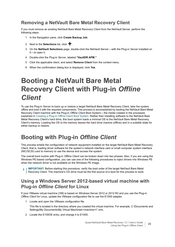### **Removing a NetVault Bare Metal Recovery Client**

If you must remove an existing NetVault Bare Metal Recovery Client from the NetVault Server, perform the following steps:

- 1 In the Navigation pane, click **Create Backup Job**.
- 2 Next to the **Selections** list, click  $\textbf{+}$ .
- 3 On the **NetVault Selections** page, double-click the NetVault Server—with the Plug-in *Server* installed on it—to open it.
- 4 Double-click the Plug-in *Server*, labeled **"VaultDR APM."**
- 5 Click the applicable client, and select **Remove Client** from the context menu.
- 6 When the confirmation dialog box is displayed, click **Yes**.

## <span id="page-22-0"></span>**Booting a NetVault Bare Metal Recovery Client with Plug-in** *Offline Client*

To use the Plug-in *Server* to back up or restore a target NetVault Bare Metal Recovery Client, take the system offline and boot it with the required components. This process is accomplished by booting the NetVault Bare Metal Recovery Client machine with the Plug-in *Offline Client* Boot System—the media created in the processes explained in [Creating a Plug-in Offline Client Boot System.](#page-18-3) Rather than installing software to the NetVault Bare Metal Recovery Client's hard drive, this boot system loads a minimal OS to the NetVault Bare Metal Recovery Client's memory. Loading the OS to the memory leaves the hard drive inactive (offline) and in a suitable state for either backup or restore.

### <span id="page-22-1"></span>**Booting with Plug-in** *Offline Client*

This process entails the configuration of network equipment installed on the target NetVault Bare Metal Recovery Client; that is, loading driver software for the system's network interface card or small computer system interface (NIC/SCSI) card to memory to use the device and access the system.

The overall boot routine with Plug-in *Offline Client* can be broken down into two phases. Also, if you are using the Windows PE-based configuration, you can use one of the following procedures to inject drivers into Windows PE when the network driver is not available on the Windows PE image.

**IMPORTANT:** Before starting this procedure, verify the boot order of the target NetVault Bare Metal ÷ Recovery Client. The machine's CD drive must be the first source of a boot for this process to work.

### <span id="page-22-2"></span>**Using a Windows Server 2012-based virtual machine with Plug-in** *Offline Client* **for Linux**

If your VMware virtual machine (VM) is based on Windows Server 2012 or 2012 R2 and you use the Plug-in *Offline Client* for Linux, update the VMware configuration file to use the E1000 adapter.

1 Locate and open the VMware configuration file.

This file is located in the directory where you created the virtual machine. For example, C:\Documents and Settings\My Documents\My Virtual Machines\*<machine>*\\*.vmx.

2 Locate the E100OE entry, and change it to E1000.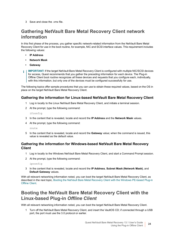3 Save and close the .vmx file.

### **Gathering NetVault Bare Metal Recovery Client network information**

In this first phase of the process, you gather specific network-related information from the NetVault Bare Metal Recovery Client for use in the boot routine, for example, NIC and SCSI interface values. This requirement includes the following values:

- **• IP Address**
- **• Network Mask**
- **• Gateway**
- **IMPORTANT:** If the target NetVault Bare Metal Recovery Client is configured with multiple NIC/SCSI devices ÷ for access, Quest recommends that you gather the preceding information for *each device*. The Plug-in Offline Client boot routine recognizes *all* these devices and requests that you configure each, individually, with this information, but only one of the devices must be configured successfully for use.

The following topics offer sample procedures that you can use to obtain these required values, based on the OS in place on the target NetVault Bare Metal Recovery Client.

#### **Gathering the information for Linux-based NetVault Bare Metal Recovery Client**

- 1 Log in locally to the Linux NetVault Bare Metal Recovery Client, and initiate a terminal session.
- 2 At the prompt, type the following command:

ifconfig

- 3 In the content that is revealed, locate and record the **IP Address** and the **Network Mask** values.
- 4 At the prompt, type the following command:

route

5 In the content that is revealed, locate and record the **Gateway** value; when the command is issued, this value is revealed as the default value.

#### **Gathering the information for Windows-based NetVault Bare Metal Recovery Client**

- 1 Log in locally to the Windows NetVault Bare Metal Recovery Client, and start a Command Prompt session.
- 2 At the prompt, type the following command:

ipconfig

3 In the content that is revealed, locate and record the **IP Address**, **Subnet Mask (Network Mask)**, and **Default Gateway** values.

With all relevant networking information noted, you can boot the target NetVault Bare Metal Recovery Client, as described in the next topic, [Booting the NetVault Bare Metal Recovery Client with the Windows PE-based Plug-in](#page-24-0)  [Offline Client](#page-24-0).

### **Booting the NetVault Bare Metal Recovery Client with the Linux-based Plug-in** *Offline Client*

With all relevant networking information noted, you can boot the target NetVault Bare Metal Recovery Client.

1 Turn off the NetVault Bare Metal Recovery Client, and insert the VaultOS CD; if connected through a USB port, the port must use the 3.0 protocol or earlier.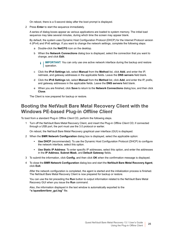On reboot, there is a 5-second delay after the boot prompt is displayed.

2 Press **Enter** to start the sequence immediately.

A series of dialog boxes appear as various applications are loaded to system memory. The initial load sequence may take several minutes, during which time the screen may appear blank.

By default, the system uses Dynamic Host Configuration Protocol (DHCP) for the Internet Protocol version 4 (IPv4) and IPv6 settings. If you want to change the network settings, complete the following steps:

- a Double-click the **NetCFG** icon on the desktop.
- b When the **Network Connections** dialog box is displayed, select the connection that you want to change, and click **Edit**.
	- **IMPORTANT:** You can only use one active network interface during the backup and restore operation.
- c Click the **IPv4 Settings** tab, select **Manual** from the **Method** list, click **Add**, and enter the IP, netmask, and gateway addresses in the applicable fields. Leave the **DNS servers** field blank.
- d Click the **IPv6 Settings** tab, select **Manual** from the **Method** list, click **Add**, and enter the IP, prefix, and gateway addresses in the applicable fields. Leave the **DNS servers** field blank.
- e When you are finished, click **Save** to return to the **Network Connections** dialog box, and then click **Close**.

The Client is now prepared for backup or restore.

#### <span id="page-24-0"></span>**Booting the NetVault Bare Metal Recovery Client with the Windows PE-based Plug-in** *Offline Client*

To boot from a standard Plug-in *Offline Client* CD, perform the following steps.

1 Turn off the NetVault Bare Metal Recovery Client, and insert the Plug-in *Offline Client* CD; if connected through a USB port, the port must use the 3.0 protocol or earlier.

On reboot, the NetVault Bare Metal Recovery graphical user interface (GUI) is displayed.

- <span id="page-24-1"></span>2 When the **BMR Network Configuration** dialog box is displayed, select the applicable option:
	- **Use DHCP** (recommended): To use the Dynamic Host Configuration Protocol (DHCP) to configure the network interface, select this option.
	- **▪ Use Static IP Address**: To enter specific IP addresses, select this option, and enter the addresses in the **IP Address**, **Subnet Mask**, and **Default Gateway** fields.
- <span id="page-24-2"></span>3 To submit the information, click **Config**, and then click **OK** when the confirmation message is displayed.
- 4 To close the **BMR Network Configuration** dialog box and start the **NetVault Bare Metal Recovery Agent**, click **Exit**.

After the network configuration is completed, the agent is started and the initialization process is finished. The NetVault Bare Metal Recovery Client is now prepared for backup or restore.

You can use the list preceding the **Run** button to output information related to the NetVault Bare Metal Recovery GUI when you issue the **Run** command.

Also, the information displayed in the text window is automatically exported to the **"x:\questbmr\bmr\_gui.log"** file.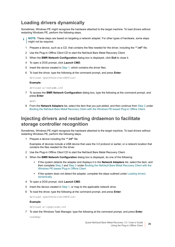### <span id="page-25-1"></span>**Loading drivers dynamically**

Sometimes, Windows PE might recognize the hardware attached to the target machine. To load drivers without restarting Windows PE, perform the following steps.

- <span id="page-25-0"></span>**NOTE:** These steps are based on targeting a network adapter. For other types of hardware, some steps might not be required.
	- 1 Prepare a device, such as a CD, that contains the files needed for the driver, including the **"\*.inf"** file.
	- 2 Use the Plug-in *Offline Client* CD to start the NetVault Bare Metal Recovery Client.
	- 3 When the **BMR Network Configuration** dialog box is displayed, click **Exit** to close it.
	- 4 To open a DOS prompt, click **Launch CMD**.
	- 5 Insert the device created in [Step 1](#page-25-0), which contains the driver files.
	- 6 To load the driver, type the following at the command prompt, and press **Enter**:

drvload *<pathToDriverINFfile>*

**Example:**

drvload a:\netadm.inf

7 To access the **BMR Network Configuration** dialog box, type the following at the command prompt, and press **Enter**:

qnet

8 From the **Network Adapters** list, select the item that you just added, and then continue from [Step 2](#page-24-1) under [Booting the NetVault Bare Metal Recovery Client with the Windows PE-based Plug-in Offline Client](#page-24-0).

#### **Injecting drivers and restarting drdaemon to facilitate storage controller recognition**

Sometimes, Windows PE might recognize the hardware attached to the target machine. To load drivers without restarting Windows PE, perform the following steps.

<span id="page-25-2"></span>1 Prepare a device including the **"\*.inf"** file.

Examples of devices include a USB device that uses the 3.0 protocol or earlier, or a network location that contains the files needed for the driver.

- 2 Use the Plug-in *Offline Client* CD to start the NetVault Bare Metal Recovery Client.
- 3 When the **BMR Network Configuration** dialog box is displayed, do one of the following:
	- **▪** If the system detects the adapter and displays it in the **Network Adapters** list, select the item, and then complete [Step 2](#page-24-1) and [Step 3](#page-24-2) under [Booting the NetVault Bare Metal Recovery Client with the](#page-24-0)  [Windows PE-based Plug-in Offline Client](#page-24-0)
	- If the system does not detect the adapter, complete the steps outlined under Loading drivers [dynamically](#page-25-1).
- 4 To open a DOS prompt, click **Launch CMD**.
- 5 Insert the device created in [Step 1](#page-25-2), or map to the applicable network drive.
- 6 To load the driver, type the following at the command prompt, and press **Enter**:

drvload *<pathToDriverINFfile>*

**Example:**

drvload a:\cpqcissm.inf

7 To start the Windows Task Manager, type the following at the command prompt, and press **Enter**:

taskmgr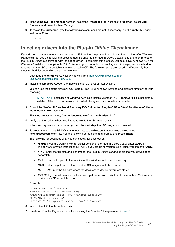- 8 In the **Windows Task Manager** screen, select the **Processes** tab, right-click **drdaemon**, select **End Process**, and close the Task Manager.
- 9 To restart the **drdaemon**, type the following at a command prompt (if necessary, click **Launch CMD** again), and press **Enter**:

drdaemon

### **Injecting drivers into the Plug-in** *Offline Client* **image**

If you do not, or cannot, use a device such as a USB device, 3.0 protocol or earlier, to load a driver after Windows PE has started, use the following process to add the driver to the Plug-in *Offline Client* image and then re-create the Plug-in *Offline Client* image with the added driver. To complete this process, you must have Windows ADK for Windows 8 installed, the applicable **"\*.inf"** file, a program capable of extracting an ISO image, and a method for repackaging the ISO as a bootable image or bootable CD. The following steps are based on Windows 7; these steps might differ depending on your environment.

- 1 Download the **Windows ADK** for Windows 8 from: [http://www.microsoft.com/en](http://www.microsoft.com/en-us/download/details.aspx?id=30652)[us/download/details.aspx?id=30652](http://www.microsoft.com/en-us/download/details.aspx?id=30652)
- 2 Install the **Windows ADK** on a Windows Server 2012 R2 or later system.

You can use the default directory, C:\Program Files (x86)\Windows Kits\8.0, or a different directory of your choosing.

- **IMPORTANT:** Installation of Windows ADK also installs Microsoft .NET Framework if it is not already f. installed. After .NET Framework is installed, the system is automatically restarted.
- 3 Extract the **"NetVault Bare Metal Recovery ISO Builder for Plug-in** *Offline Client for Windows***"** file to the **Windows ADK** machine.

This step creates two files, **"nvbmrisocreate.exe"** and **"nvbmriso.pkg."**

4 Verify that the path to where you intend to create the ISO image exists.

If the directory does not exist when you run the next step, the ISO image is not created.

<span id="page-26-0"></span>5 To create the Windows PE ISO image, navigate to the directory that contains the extracted **"nvbmrisocreate.exe"** file, type the following at the command prompt, and press **Enter**:

The following list describes what you can specify for each option:

- **▪ /TYPE**: If you are working with an earlier version of the Plug-in *Offline Client*, enter **WAIK** for Windows Automated Installation Kit (AIK). If you are using version 6.1 or later, you can enter **ADK**.
- **▪ /PKG**: Enter the full path and filename for the Plug-in *Offline Client* .pkg file that you downloaded separately.
- **▪ /DIR**: Enter the full path to the location of the Windows AIK or ADK directory.
- **▪ /OUT**: Enter the path where the bootable ISO image should be created.
- **▪ /ADDDRV**: Enter the full path where the downloaded device drivers are stored.
- **/BIT:32**: If you must create a backward-compatible version of VaultOS for use with a 32-bit version of Windows PE, enter this option.

#### **Example:**

```
nvbmrisocreate /TYPE:ADK
/PKG:"<pathToFile>\nvbmriso.pkg"
/DIR:"C:\Program Files (x86)\Windows Kits\8.0"
/OUT:"C:\temp\bmr.iso"
/ADDDRV:"C:\Program Files\Down Load Drivers\"
```
- 6 Insert a blank CD in the writable drive.
- 7 Create a CD with CD-generation software using the **"bmr.iso"** file generated in [Step 5.](#page-26-0)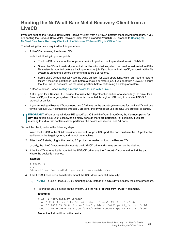#### <span id="page-27-0"></span>**Booting the NetVault Bare Metal Recovery Client from a LiveCD**

If you are booting the NetVault Bare Metal Recovery Client from a LiveCD, perform the following procedure. If you are booting the NetVault Bare Metal Recovery Client from a standard VaultOS CD, proceed to [Booting the](#page-24-0)  [NetVault Bare Metal Recovery Client with the Windows PE-based Plug-in Offline Client](#page-24-0).

The following items are required for this procedure:

**•** A LiveCD containing the desired OS.

Note the following important points:

- **▪** The LiveCD must mount the loop-back device to perform backup and restore with NetVault.
- Some LiveCDs automatically mount all partitions for devices, which can lead to restore failure if the file system is mounted before a backup or restore job. If you boot with a LiveCD, ensure that the file system is unmounted before performing a backup or restore.
- **Some LiveCDs automatically use the swap partition for swap operations, which can lead to restore** failure if the swap partition is used before a backup or restore job. If you boot with a LiveCD, ensure that the LiveCD does not use the swap partition before performing a backup or restore.
- **•** A Rescue device—see [Creating a rescue device for use with a LiveCD.](#page-20-0)
- **•** A USB port, for a Rescue USB device, that uses the 3.0 protocol or earlier, or a secondary CD drive, for a Rescue CD, on the target system. If the drive is connected through a USB port, it must use USB 3.0 protocol or earlier.
- **•** If you are using a Rescue CD, you need two CD drives on the target system—one for the LiveCD and one for the Rescue CD. If connected through USB ports, the drives must use the USB 3.0 protocol or earlier.
- **IMPORTANT:** When using Windows PE-based VaultOS with NetVault SmartDisk, the **Connect ports for devices** option in NetVault uses twice as many ports as there are partitions. For example, if you are restoring to a disk that contains seven partitions, the device connection uses 14 ports.

To boot the client, perform the following steps.

- 1 Insert the LiveCD in the CD drive—if connected through a USB port, the port must use the 3.0 protocol or earlier—on the target system, and reboot the machine.
- 2 After the OS starts, plug in the device, 3.0 protocol or earlier, or load the Rescue CD.

Usually, the LiveCD automatically mounts the USB/CD drive and shows an icon on the desktop.

3 If the LiveCD automatically mounted the USB/CD drive, use the **"mount -l"** command to find the path where the device is mounted.

**Example:**

```
# mount -l
...
/dev/sdb1 on /media/disk type ext2 (rw,nosuid,nodev)
```
4 If the LiveCD does not automatically mount the USB drive, mount it manually:

**NOTE:** To use a Rescue CD by mounting a CD instead of a USB device, follow the same procedure.i I

a To find the USB devices on the system, use the **"ls -l /dev/disk/by-id/usb\*"** command.

**Example:**

```
# ls -l /dev/disk/by-id/usb*
root 9 2007-09-26 8:16 /dev/disk/by-id/usb-JetFl -> ../../sdb
root 10 2007-09-26 8:16 /dev/disk/by-id/usb-JetFl-part1 -> \ldots./\ldots/sdb1
root 10 2007-09-26 8:16 /dev/disk/by-id/usb-JetFl-part2 -> ../../sdb2
```
b Mount the first partition on the device.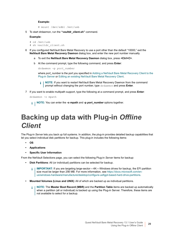#### **Example:**

# mount /dev/sdb1 /mnt/usb

5 To start drdaemon, run the **"vaultdr\_client.sh"** command.

#### **Example:**

```
# cd /mnt/usb
# sh vaultdr_client.sh
```
- 6 If you configured NetVault Bare Metal Recovery to use a port other than the default "10000," exit the **NetVault Bare Metal Recovery Daemon** dialog box, and enter the new port number manually.
	- a To exit the **NetVault Bare Metal Recovery Daemon** dialog box, press **<Ctrl+C>**.
	- b At the command prompt, type the following command, and press **Enter**:

```
drdaemon -p port_number
```
where *port* number is the port you specified in Adding a NetVault Bare Metal Recovery Client to the [Plug-in Server](#page-21-0) or [Editing an existing NetVault Bare Metal Recovery Client](#page-21-1).

- **NOTE:** If you want to restart NetVault Bare Metal Recovery Daemon from the command prompt without changing the port number, type drdaemon and press **Enter**.
- 7 If you want to enable multipath support, type the following at a command prompt, and press **Enter**:

```
drdaemon -o mpath
```
**NOTE:** You can enter the **-o mpath** and **-p** *port\_number* options together.

## <span id="page-28-0"></span>**Backing up data with Plug-in** *Offline Client*

The Plug-in *Server* lets you back up full systems. In addition, the plug-in provides detailed backup capabilities that let you select individual disk partitions for backup. This plug-in includes the following items:

- **• OS**
- **• Applications**
- **• Specific User Information**

From the NetVault Selections page, you can select the following Plug-in *Server* items for backup:

- **• Disk Partitions**: All (or individual) partitions can be selected for backup.
	- **IMPORTANT:** If you are targeting large-sector—4K—Windows drives for backup, the EFI partition  $\blacksquare$ size must be larger than 256 MB. For more information, see [https://docs.microsoft.com/en](https://docs.microsoft.com/en-us/windows-hardware/manufacture/desktop/configure-uefigpt-based-hard-drive-partitions)[us/windows-hardware/manufacture/desktop/configure-uefigpt-based-hard-drive-partitions.](https://docs.microsoft.com/en-us/windows-hardware/manufacture/desktop/configure-uefigpt-based-hard-drive-partitions)
- **• Mounted Volumes (Linux and UNIX)**: All of which are backed up as individual partitions.
	- **NOTE:** The **Master Boot Record (MBR)** and the **Partition Table** items are backed up automatically i. when a partition (all or individual) is backed up using the Plug-in Server. Therefore, these items are not available to select for a backup.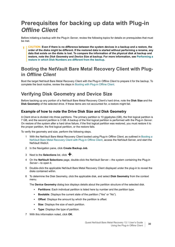## <span id="page-29-0"></span>**Prerequisites for backing up data with Plug-in**  *Offline Client*

Before initiating a backup with the Plug-in *Server*, review the following topics for details on prerequisites that must be met.

**CAUTION: Even if there is no difference between the system devices in a backup and a restore, the order of the disks might be different. If the restored data is started without performing a rename, any data that exists on the disks is lost. To compare the information of the physical disk at backup and restore, note the** *Disk Geometry* **and** *Device Size* **at backup. For more information, see [Performing a](#page-67-3)  [restore in which Disk Numbers are different from the backup.](#page-67-3)**

#### **Booting the NetVault Bare Metal Recovery Client with Plugin** *Offline Client*

Boot the target NetVault Bare Metal Recovery Client with the Plug-in *Offline Client* to prepare it for the backup. To complete the boot routine, review the steps in [Booting with Plug-in Offline Client.](#page-22-1)

### <span id="page-29-1"></span>**Verifying Disk Geometry and Device Size**

Before backing up any portion of a NetVault Bare Metal Recovery Client's hard drive, note the **Disk Size** and the **Disk Geometry** of the selected drive. If these items are not accounted for, a restore might fail.

#### **Example of how to note the Drive Disk Size and Disk Geometry**

A Client drive is divided into three partitions. The primary partition is 10 gigabytes (GB), the first logical partition is 7 GB, and the second partition is 3 GB. A backup of the first logical partition is performed with the Plug-in *Server*. On restore of the system after a hard drive failure, if the first logical partition was restored, you must restore it to the proper partition, the first logical partition, or the restore fails.

To verify the geometry and size, perform the following steps.

- 1 With the NetVault Bare Metal Recovery Client booted using Plug-in *Offline Client*, as outlined in [Booting a](#page-22-0)  [NetVault Bare Metal Recovery Client with Plug-in Offline Client](#page-22-0), access the NetVault Server, and start the NetVault WebUI.
- 2 In the Navigation pane, click **Create Backup Job**.
- 3 Next to the **Selections** list, click  $\textbf{+}$
- 4 On the **NetVault Selections** page, double-click the NetVault Server—the system containing the Plug-in *Server*—to open it.
- 5 Double-click the applicable NetVault Bare Metal Recovery Client displayed under the plug-in to reveal the disks contained within.
- 6 To determine the Disk Geometry, click the applicable disk, and select **Disk Geometry** from the context menu.

The **Device Geometry** dialog box displays details about the partition structure of the selected disk.

- **Partitions:** Each individual partition is listed here by number and the partition type.
- **Bootable**: Displays the current state of the partition ("Yes" or "No").
- **▪ Offset**: Displays the amount by which the partition is offset.
- **Size:** Displays the size of each partition.
- **▪ Type**: Displays the type of partition.
- 7 With this information noted, click **OK**.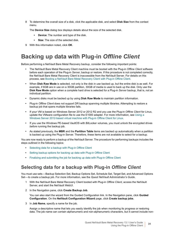8 To determine the overall size of a disk, click the applicable disk, and select **Disk Size** from the context menu.

The **Device Size** dialog box displays details about the size of the selected disk.

- **▪ Device**: The number and type of the disk.
- **▪ Size**: The size of the selected disk.
- 9 With this information noted, click **OK**.

## <span id="page-30-0"></span>**Backing up data with Plug-in** *Offline Client*

Before performing a NetVault Bare Metal Recovery backup, consider the following important points:

- **•** The NetVault Bare Metal Recovery Client machine must be booted with the Plug-in *Offline Client* software before each operation of the Plug-in *Server*, backup or restore. If this procedure is not completed correctly, the NetVault Bare Metal Recovery Client is inaccessible from the NetVault Server. For details on this process, see [Booting a NetVault Bare Metal Recovery Client with Plug-in Offline Client](#page-22-0).
- **•** When **Disk Raw Mode** is selected, not only is the disk in use backed up, but the entire disk is as well. For example, if 6GB are in use on a 30GB partition, 30GB of media is used to back up the disk. Only use the **Disk Raw Mode** option when a complete hard drive is selected for a Plug-in *Server* backup, that is, not an individual partition.
- **•** Dynamic disks must be backed up by using **Disk Raw Mode** to maintain partition information.
- **•** Plug-in *Offline Client* does not support DR backup spanning multiple libraries. Attempting to restore a backup job that spans multiple libraries fails.
- **•** If your VM is based on Windows Server 2012 or 2012 R2 and you use the Plug-in *Offline Client* for Linux, update the VMware configuration file to use the E1000 adapter. For more information, see [Using a](#page-22-2)  [Windows Server 2012-based virtual machine with Plug-in Offline Client for Linux.](#page-22-2)
- **•** If you use the Windows PE-based VaultOS with BitLocker volumes, you must unlock the encrypted drives *before* running the backup job.
- **•** As stated previously, the **MBR** and the **Partition Table** items are backed up automatically when a partition is backed up using the Plug-in Server. Therefore, these items are not available to select for a backup.

You are now ready to perform a backup of the NetVault Server. The procedure for performing backups includes the steps outlined in the following topics:

- **•** [Selecting data for a backup with Plug-in Offline Client](#page-30-1)
- **•** [Setting backup options for backing up data with Plug-in Offline Client](#page-31-0)
- **•** [Finalizing and submitting the job for backing up data with Plug-in Offline Client](#page-32-1)

### <span id="page-30-1"></span>**Selecting data for a backup with Plug-in** *Offline Client*

You must use sets—Backup Selection Set, Backup Options Set, Schedule Set, Target Set, and Advanced Options Set—to create a backup job. For more information, see the *Quest NetVault Administrator's Guide*.

- 1 With the NetVault Bare Metal Recovery Client booted with Plug-in *Offline Client*, access the NetVault Server, and start the NetVault WebUI.
- 2 In the Navigation pane, click **Create Backup Job**.

You can also start the wizard from the Guided Configuration link. In the Navigation pane, click **Guided Configuration**. On the **NetVault Configuration Wizard** page, click **Create backup jobs**.

3 In **Job Name**, specify a name for the job.

Assign a descriptive name that lets you easily identify the job when monitoring its progress or restoring data. The job name can contain alphanumeric and non-alphanumeric characters, but it cannot include non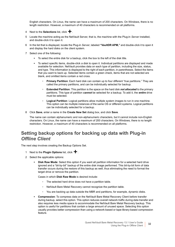English characters. On Linux, the name can have a maximum of 200 characters. On Windows, there is no length restriction. However, a maximum of 40 characters is recommended on all platforms.

- 4 Next to the **Selections** list, click  $\textbf{+}$
- 5 Locate the machine acting as the NetVault Server, that is, the machine with the Plug-in *Server* installed, and double-click it to open it.
- 6 In the list that is displayed, locate the Plug-in *Server*, labeled **"VaultDR APM,"** and double-click it to open it and display the hard disks on the client system.
- 7 Select one of the following:
	- **▪** To select the entire disk for a backup, click the box to the left of the disk title.
	- **▪** To select specific items, double-click a disk to open it. Individual partitions are displayed and made available for selection. NetVault provides data on each type of partition, including the size, status, and type. This information is displayed to the right of each partition, in parentheses. Select the items that you want to back up. Selected items contain a green check, items that are not selected are blank, and omitted items contain a red cross.
		- **Primary Partition:** Each hard disk can contain up to four different "true partitions." They are called the primary partitions, and can be individually selected for backup.
		- **▫ Extended Partition**: This partition is the space on the hard disk *not allocated* to the primary partitions. This type of partition *cannot* be selected for a backup. To add it, the *entire* drive must be selected.
		- **▫ Logical Partition**: Logical partitions allow multiple system images to run in one machine. This option can be multiple instances of the same OS or different systems. Logical partitions can be individually selected for a backup.
- 8 Click **Save**, enter a name in the **Create New Set** dialog box, and click **Save**.

The name can contain alphanumeric and non-alphanumeric characters, but it cannot include non-English characters. On Linux, the name can have a maximum of 200 characters. On Windows, there is no length restriction. However, a maximum of 40 characters is recommended on all platforms.

#### <span id="page-31-0"></span>**Setting backup options for backing up data with Plug-in**  *Offline Client*

The next step involves creating the Backup Options Set.

- 1 Next to the **Plugin Options** list, click  $\mathbf{\div}$ .
- 2 Select the applicable options:
	- **Disk Raw Mode:** Select this option if you want all partition information for a selected hard drive ignored and a "bit-by-bit" backup of the entire disk image performed. This bit-by-bit form of data transfer occurs during the restore of this backup as well, thus eliminating the need to format the target drive or remove the partition.

Cases in which **Disk Raw Mode** is desired include:

- **▫** The selected hard drive does not have a partition table.
- **▫** NetVault Bare Metal Recovery cannot recognize the partition table.
- **▫** You are backing up data outside the MBR and partitions, for example, dynamic disks.
- **▪ Compression**: To compress data on the NetVault Bare Metal Recovery Client before transfer during backup, select this option. This option reduces overall network traffic during data transfer and also requires less media space to accommodate the NetVault Bare Metal Recovery backup. This option is useful for partitions that contain a large amount of unused space. Selecting this option usually provides better compression than using a network-based or tape-library-based compression feature.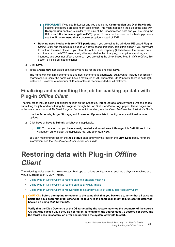- **IMPORTANT:** If you use BitLocker and you enable the **Compression** and **Disk Raw Mode**  ă. options, the backup process might take longer. This might happen if the size of the data with **Compression** enabled is similar to the size of the uncompressed data and you are using the BitLocker **full volume encryption (FVE)** option. To improve the speed of the backup process, use the BitLocker **used disk space only** option instead of FVE.
- **Back up used blocks only for NTFS partitions: If you are using the Windows PE-based Plug-in** *Offline Client* and the backup includes Windows-based partitions, select this option if you only want to back up the used blocks. If you clear this option, a discrepancy (4 K) between the backup data and the size of the NTFS volume might be reported in the binary log; this option is working as intended, and does not affect a restore. If you are using the Linux-based Plug-in *Offline Client*, this option is visible but not functional.
- 3 Click **Save**.
- 4 In the **Create New Set** dialog box, specify a name for the set, and click **Save**.

The name can contain alphanumeric and non-alphanumeric characters, but it cannot include non-English characters. On Linux, the name can have a maximum of 200 characters. On Windows, there is no length restriction. However, a maximum of 40 characters is recommended on all platforms.

#### <span id="page-32-1"></span>**Finalizing and submitting the job for backing up data with Plug-in** *Offline Client*

The final steps include setting additional options on the Schedule, Target Storage, and Advanced Options pages, submitting the job, and monitoring the progress through the Job Status and View Logs pages. These pages and options are common to all NetVault Plug-ins. For more information, see the *Quest NetVault Administrator's Guide*.

- 1 Use the **Schedule**, **Target Storage**, and **Advanced Options** lists to configure any additional required options.
- 2 Click **Save** or **Save & Submit**, whichever is applicable.
	- **TIP:** To run a job that you have already created and saved, select **Manage Job Definitions** in the Navigation pane, select the applicable job, and click **Run Now**.

You can monitor progress on the **Job Status** page and view the logs on the **View Logs** page. For more information, see the *Quest NetVault Administrator's Guide*.

## <span id="page-32-0"></span>**Restoring data with Plug-in** *Offline Client*

The following topics describe how to restore backups to various configurations, such as a physical machine or a Virtual Machine Disk (VMDK) image.

- **•** [Using Plug-in Offline Client to restore data to a physical machine](#page-34-0)
- **•** [Using Plug-in Offline Client to restore data as a VMDK Image](#page-37-0)
- **•** [Using Plug-in Offline Client to recover data to a standby NetVault Bare Metal Recovery Client](#page-40-0)
- **CAUTION: Before attempting to recover to the same disk that you backed up, verify that all existing**  ٠ **partitions have been removed; otherwise, recovery to the same disk might fail, unless the data was backed up using** *Disk Raw Mode***.**

**Verify that the Disk Geometry of the OS targeted by the restore matches the geometry of the source OS that was backed up. If they do not match, for example, the source used 32 sectors per track, and the target uses 63 sectors, an error occurs when the system attempts to start.**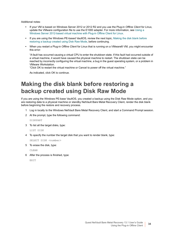Additional notes:

- **•** If your VM is based on Windows Server 2012 or 2012 R2 and you use the Plug-in *Offline Client* for Linux, update the VMware configuration file to use the E1000 adapter. For more information, see [Using a](#page-22-2)  [Windows Server 2012-based virtual machine with Plug-in Offline Client for Linux.](#page-22-2)
- **•** If you are using the Windows PE-based VaultOS, review the next topic, [Making the disk blank before](#page-33-0)  [restoring a backup created using Disk Raw Mode,](#page-33-0) before continuing.
- **•** When you restart a Plug-in *Offline Client* for Linux that is running on a VMware® VM, you might encounter this error:

"A fault has occurred causing a virtual CPU to enter the shutdown state. If this fault had occurred outside of a virtual machine, it would have caused the physical machine to restart. The shutdown state can be reached by incorrectly configuring the virtual machine, a bug in the guest operating system, or a problem in VMware Workstation.

"Click OK to restart the virtual machine or Cancel to power off the virtual machine."

As indicated, click OK to continue.

### <span id="page-33-0"></span>**Making the disk blank before restoring a backup created using Disk Raw Mode**

If you are using the Windows PE-base VaultOS, you created a backup using the Disk Raw Mode option, and you are restoring data to a physical machine or standby NetVault Bare Metal Recovery Client, render the disk blank before beginning the restore and recovery process.

- 1 Log in locally to the Windows NetVault Bare Metal Recovery Client, and start a Command Prompt session.
- 2 At the prompt, type the following command:

DISKPART

3 To list all the target disks, type:

LIST DISK

4 To specify the number the target disk that you want to render blank, type:

SELECT DISK <number>

5 To erase the disk, type:

CLEAN

6 After the process is finished, type:

EXIT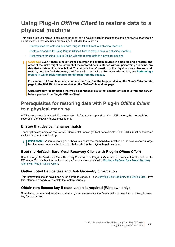### <span id="page-34-0"></span>**Using Plug-in** *Offline Client* **to restore data to a physical machine**

This option lets you recover backups of the client to a physical machine that has the same hardware specification as the machine that was used for backup. It includes the following:

- **•** [Prerequisites for restoring data with Plug-in Offline Client to a physical machine](#page-34-1)
- **•** [Restore procedure for using Plug-in Offline Client to restore data to a physical machine](#page-35-0)
- **•** [Post-restore for using Plug-in Offline Client to restore data to a physical machine](#page-37-1)
- **CAUTION:** Even if there is no difference between the system devices in a backup and a restore, the **order of the disks might be different. If the restored data is started without performing a rename, any data that exists on the disks is lost. To compare the information of the physical disk at backup and restore, note the** *Disk Geometry* **and** *Device Size* **at backup. For more information, see [Performing a](#page-67-3)  [restore in which Disk Numbers are different from the backup.](#page-67-3)**

**For version 1.1.6 and later, also compare the Disk ID of the targeted disk on the** *Create Selection Set*  **page to the Disk ID of the same disk on the** *NetVault Selections* **page.**

**Quest strongly recommends that you disconnect all disks that contain critical data from the server before you boot the Plug-in Offline Client.**

#### <span id="page-34-1"></span>**Prerequisites for restoring data with Plug-in** *Offline Client* **to a physical machine**

A DR restore procedure is a delicate operation. Before setting up and running a DR restore, the prerequisites covered in the following topics must be met.

#### **Ensure that device filenames match**

The target device name on the NetVault Bare Metal Recovery Client, for example, Disk 0 (IDE), must be the same as it was at the time of backup.

**IMPORTANT:** When relocating a DR backup, ensure that the hard disk installed on the new relocation target has the same name as the hard disk that existed in the original target machine.

#### **Boot the NetVault Bare Metal Recovery Client with Plug-in** *Offline Client*

Boot the target NetVault Bare Metal Recovery Client with the Plug-in *Offline Client* to prepare it for the restore of a DR image. To complete the boot routine, perform the steps covered in Booting a NetVault Bare Metal Recovery [Client with Plug-in Offline Client.](#page-22-0)

#### **Gather noted Device Size and Disk Geometry information**

This information should have been noted before the backup—see [Verifying Disk Geometry and Device Size](#page-29-1). Have this information handy to complete the restore correctly.

#### **Obtain new license key if reactivation is required (Windows only)**

Sometimes, the restored Windows system might require reactivation. Verify that you have the necessary license key for reactivation.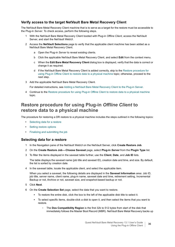#### **Verify access to the target NetVault Bare Metal Recovery Client**

The NetVault Bare Metal Recovery Client machine that is to serve as a target for the restore must be accessible to the Plug-in *Server*. To check access, perform the following steps.

- 1 With the NetVault Bare Metal Recovery Client booted with Plug-in *Offline Client*, access the NetVault Server, and start the NetVault WebUI.
- 2 Access the **NetVault Selections** page to verify that the applicable client machine has been added as a NetVault Bare Metal Recovery Client.
	- a Open the Plug-in *Server* to reveal existing clients.
	- b Click the applicable NetVault Bare Metal Recovery Client, and select **Edit** from the context menu.
	- c When the **Edit Bare Metal Recovery Client** dialog box is displayed, verify that the data is correct or change it as required.
	- d If the NetVault Bare Metal Recovery Client is added correctly, skip to the [Restore procedure for](#page-35-0)  [using Plug-in Offline Client to restore data to a physical machine](#page-35-0) topic; otherwise, proceed to the next step.
- 3 Add the applicable NetVault Bare Metal Recovery Client.

For detailed instructions, see [Adding a NetVault Bare Metal Recovery Client to the Plug-in Server](#page-21-0).

4 Continue to the [Restore procedure for using Plug-in Offline Client to restore data to a physical machine](#page-35-0) topic.

#### <span id="page-35-0"></span>**Restore procedure for using Plug-in** *Offline Client* **to restore data to a physical machine**

The procedure for restoring a DR restore to a physical machine includes the steps outlined in the following topics:

- **•** [Selecting data for a restore](#page-35-1)
- **•** [Setting restore options](#page-36-0)
- **•** [Finalizing and submitting the job](#page-36-1)

#### <span id="page-35-1"></span>**Selecting data for a restore**

- 1 In the Navigation pane of the NetVault WebUI on the NetVault Server, click **Create Restore Job**.
- 2 On the **Create Restore Job—Choose Saveset** page, select **Plug-in** *Server* from the **Plugin Type** list.
- 3 To filter the items displayed in the saveset table further, use the **Client**, **Date**, and **Job ID** lists.

The table displays the saveset name (job title and saveset ID), creation date and time, and size. By default, the list is sorted by creation date.

4 In the saveset table, locate the applicable client, and select the applicable item.

When you select a saveset, the following details are displayed in the **Saveset Information** area: Job ID, job title, server name, client name, plug-in name, saveset date and time, retirement setting, Incremental Backup or not, Archive or not, saveset size, and snapshot-based backup or not.

- 5 Click **Next**.
- 6 On the **Create Selection Set** page, select the data that you want to restore.
	- **▪** To restore the entire disk, click the box to the left of the applicable disk title to select it.
	- **▪** To select specific items, double-click a disk to open it, and then select the items that you want to restore.
		- **▫** The **Dos Compatibility Region** is the first 32k to 512 bytes from start of the disk that immediately follows the Master Boot Record (MBR). NetVault Bare Metal Recovery backs up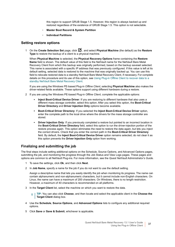this region to support GRUB Stage 1.5. However, this region is always backed up and restored regardless of the existence of GRUB Stage 1.5. This option is not selectable.

- **▫ Master Boot Record & System Partition**
- **▫ Individual Partitions**

#### <span id="page-36-0"></span>**Setting restore options**

1 On the **Create Selection Set** page, click , and select **Physical Machine** (the default) as the **Restore Type** to restore the backup of a client to a physical machine.

When **Physical Machine** is selected, the **Physical Recovery Options** frame containing the **Restore Name** field is shown. The default value of this field is the NetVault name for the NetVault Bare Metal Recovery Client from which this backup was originally performed, based on the backup saveset selected. This name is associated with a specific IP address that was previously configured. If this value is left at its default setting, selected data is restored to the machine that was originally backed up. You can use this field to relocate restored data to a standby NetVault Bare Metal Recovery Client, if necessary. For complete details on this procedure and its use of this option, see [Using Plug-in Offline Client to recover data to a](#page-40-0)  [standby NetVault Bare Metal Recovery Client](#page-40-0).

If you are using the Windows PE-based Plug-in *Offline Client*, selecting **Physical Machine** also makes the driver-related fields available. These options support using different hardware during a restore.

- 2 If you are using the Windows PE-based Plug-in *Offline Client*, complete the applicable options:
	- **Inject Boot-Critical Device Driver**: If you are restoring to different hardware that also uses a different mass storage controller, select this option. After you select this option, the **Boot-Critical Driver Directory** and **Driver Injection Only** options become available.
	- **▪ Boot-Critical Driver Directory**: If you selected the **Inject Boot-Critical Device Driver** option, enter the complete path to the local drive where the drivers for the mass storage controller are stored.
	- **Driver Injection Only:** If you previously completed a restore but pointed to an incorrect location in the **Boot-Critical Driver Directory** field, select this option to run the driver-injection portion of the restore process again. This option eliminates the need to restore the data again, but lets you inject the correct drivers. Check that you enter the correct path in the **Boot-Critical Driver Directory** field. By default, the **Inject Boot-Critical Device Driver** option remains selected; do not clear it as this option prevents the **Driver Injection Only** option from working.

#### <span id="page-36-1"></span>**Finalizing and submitting the job**

The final steps include setting additional options on the Schedule, Source Options, and Advanced Options pages, submitting the job, and monitoring the progress through the Job Status and View Logs pages. These pages and options are common to all NetVault Plug-ins. For more information, see the *Quest NetVault Administrator's Guide*.

- 1 To save the settings, click **Ok**, and then click **Next**.
- 2 In **Job Name**, specify a name for the job if you do not want to use the default setting.

Assign a descriptive name that lets you easily identify the job when monitoring its progress. The name can contain alphanumeric and non-alphanumeric characters, but it cannot include non-English characters. On Linux, the name can have a maximum of 200 characters. On Windows, there is no length restriction. However, a maximum of 40 characters is recommended on all platforms.

3 In the **Target Client** list, select the machine on which you want to restore the data.

**TIP:** You can also click **Choose**, and then locate and select the applicable client in the **Choose the**  ÷ **Target Client** dialog box.

- 4 Use the **Schedule**, **Source Options**, and **Advanced Options** lists to configure any additional required options.
- 5 Click **Save** or **Save & Submit**, whichever is applicable.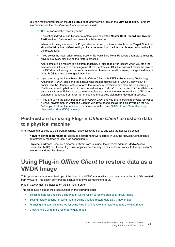You can monitor progress on the **Job Status** page and view the logs on the **View Logs** page. For more information, see the *Quest NetVault Administrator's Guide*.

- **NOTE:** Be aware of the following items: ÷
	- **•** If selecting individual partitions for a restore, also select the **Master Boot Record and System Partition** item. Failure to do so results in a failed restore.
	- **•** When performing a restore of a Plug-in *Server* backup, options available in the **Target Client** list should be left at their default settings. If a target other than the intended is selected from this list the restore fails.
	- **•** If you select the inject driver-related options, NetVault Bare Metal Recovery attempts to inject the drivers into every disk during the restore process.
	- **•** After completing a restore to a different machine, a "disk read error" occurs when you start the new machine if the size of the Integrated Drive Electronics (IDE) disk does not match the size of the IDE disk on the original (backed-up) machine. To work around this issue, change the disk size in the BIOS to match the original machine.
	- **•** If you are using the Linux-based Plug-in *Offline Client* with IDE/Parallel Advance Technology Attachment (PATA) disks and the backup was created using Plug-in *Offline Client* v5.6.4 or earlier, use the Rename feature to force the system to reexamine and map the disk correctly. Partitions backed up before v5.7.1 are named using an "hd*<x>*" format, while v5.7.1 and later use an "sd*<x>*" format. Failure to use the rename feature causes the restore to fail with a "Error: All disk name requested from client is not equal to the backup disk name /dev/hda" message.
	- **•** If you are using the Linux-based Plug-in *Offline Client* and you are migrating a physical server to a virtual environment in which the Client is Windows-based, install the disk drivers on the OS *before* you back up the machine. For more information, see [NetVault Bare Metal Recovery](#page-64-2)  [physical-to-virtual \(P2V\) recovery](#page-64-2).

### <span id="page-37-1"></span>**Post-restore for using Plug-in** *Offline Client* **to restore data to a physical machine**

After restoring a backup to a different machine, review following points and take the applicable action:

- **• Network connection renamed**: Because a different network card is in use, the Network Connection is automatically renamed to local area connection 2.
- **• Physical address**: Because a different network card is in use, the physical address, Media Access Controller 9MAC), is different. If you use applications that rely on this address, work with the application's vendor to address the change.

### <span id="page-37-0"></span>**Using Plug-in** *Offline Client* **to restore data as a VMDK Image**

This option lets you recover backups of the client to a VMDK Image, which can then be attached to a VM created from VMware. This option converts the backup of a physical machine to a VM.

Plug-in *Server* must be installed on the NetVault Server.

This procedure includes the steps outlined in the following topics:

- **•** [Selecting data for a restore using Plug-in Offline Client to restore data as a VMDK Image](#page-38-0)
- **•** [Setting restore options for using Plug-in Offline Client to restore data as a VMDK Image](#page-38-1)
- **•** [Finalizing and submitting the job for using Plug-in Offline Client to restore data as a VMDK Image](#page-39-0)
- **•** [Creating the VM from the restored VMDK Image](#page-39-1)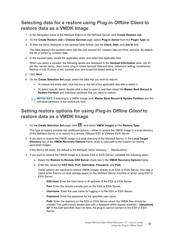### <span id="page-38-0"></span>**Selecting data for a restore using Plug-in** *Offline Client* **to restore data as a VMDK Image**

- 1 In the Navigation pane of the NetVault WebUI on the NetVault Server, click **Create Restore Job**.
- 2 On the **Create Restore Job—Choose Saveset** page, select **Plug-in** *Server* from the **Plugin Type** list.
- 3 To filter the items displayed in the saveset table further, use the **Client**, **Date**, and **Job ID** lists.

The table displays the saveset name (job title and saveset ID), creation date and time, and size. By default, the list is sorted by creation date.

4 In the saveset table, locate the applicable client, and select the applicable item.

When you select a saveset, the following details are displayed in the **Saveset Information** area: Job ID, job title, server name, client name, plug-in name, saveset date and time, retirement setting, Incremental Backup or not, Archive or not, saveset size, and snapshot-based backup or not.

- 5 Click **Next**.
- 6 On the **Create Selection Set** page, select the data that you want to restore.
	- **▪** To restore the entire disk, click the box to the left of the applicable disk title to select it.
	- **▪** To select specific items, double-click a disk to open it, and then select the **Master Boot Record & System Partition** and individual partitions that you want to restore.
	- **i** | IMPORTANT: If restoring to a VMDK Image, both Master Boot Record & System Partition and the individual partitions or the restore job fails.

#### <span id="page-38-1"></span>**Setting restore options for using Plug-in** *Offline Client* **to restore data as a VMDK Image**

1 On the **Create Selection Set** page, click **6**, and select **VMDK Images** as the **Restore Type**.

This type of restore provides two additional options—either to restore the VMDK Image to a local directory of the NetVault Server or to restore to a remote VMware ESX or VMware ESXi Server.

2 If you want to restore the VMDK Image to a local directory of the NetVault Server, in the **Local Target Directory** box of the **VMDK Recovery Options** frame, enter a valid path to the location for storing recovered images.

If this field is left blank, the default is the NetVault "temp" directory, "…/NetVault/tmp."

- 3 If you want to restore the VMDK Image to a remote ESX or ESXi Server, complete the following steps:
	- a Select the **Restore to Remote ESX Server** check box in the **VMDK Recovery Options** frame.
	- b Enter the values for **ESX Host**, **Port**, **Username**, **Password**, and **Path**.

These options are required to restore VMDK Images directly to an ESX or ESXi Server. This step is useful when there is no local storage space on the NetVault Server machine or when using ESX or ESXi Server.

- **▫ ESX Host**: Enter the host name or IP address of the ESX or ESXi Server.
- **▫ Port**: Enter the remote console port on the ESX or ESXi Server.
- **□ Username**: Enter the user name for logging in to the ESX or ESXi Server.
- **▫ Password**: Enter the password for the specified user name.
- **▫ Path**: Enter the directory on the ESX or ESXi Server where the VMDK files should be created. This path should always start with a datastore within square brackets—**[datastore] dir**. If the path specified does not exist, the plug-in cannot connect to the ESX or ESXi Server.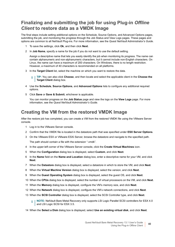### <span id="page-39-0"></span>**Finalizing and submitting the job for using Plug-in** *Offline Client* **to restore data as a VMDK Image**

The final steps include setting additional options on the Schedule, Source Options, and Advanced Options pages, submitting the job, and monitoring the progress through the Job Status and View Logs pages. These pages and options are common to all NetVault Plug-ins. For more information, see the *Quest NetVault Administrator's Guide*.

- 1 To save the settings, click **Ok**, and then click **Next**.
- 2 In **Job Name**, specify a name for the job if you do not want to use the default setting.

Assign a descriptive name that lets you easily identify the job when monitoring its progress. The name can contain alphanumeric and non-alphanumeric characters, but it cannot include non-English characters. On Linux, the name can have a maximum of 200 characters. On Windows, there is no length restriction. However, a maximum of 40 characters is recommended on all platforms.

3 In the **Target Client** list, select the machine on which you want to restore the data.

**TIP:** You can also click **Choose**, and then locate and select the applicable client in the **Choose the**  ÷ **Target Client** dialog box.

- 4 Use the **Schedule**, **Source Options**, and **Advanced Options** lists to configure any additional required options.
- 5 Click **Save** or **Save & Submit**, whichever is applicable.

You can monitor progress on the **Job Status** page and view the logs on the **View Logs** page. For more information, see the *Quest NetVault Administrator's Guide*.

### <span id="page-39-1"></span>**Creating the VM from the restored VMDK Image**

After the restore job has completed, you can create a VM from the restored VMDK file using the VMware Server console.

- 1 Log in to the VMware Server console.
- 2 Confirm that the VMDK file is located in the datastore path that was specified under **ESX Server Options**.
- 3 On the VMware ESX or VMware ESXi Server, browse the datastore and navigate to the specified path.

The path should contain a file with the extension ".vmdk".

- 4 In the upper-left corner of the VMware Server console, click the **Create Virtual Machines** icon.
- 5 When the **Configuration** dialog box is displayed, select **Custom**, and click **Next**.
- 6 In the **Name** field on the **Name and Location** dialog box, enter a descriptive name for your VM, and click **Next**.
- 7 When the **Datastore** dialog box is displayed, select a datastore in which to store the VM, and click **Next**.
- 8 When the **Virtual Machine Version** dialog box is displayed, select the version, and click **Next**.
- 9 When the **Guest Operating System** dialog box is displayed, select the guest OS, and click **Next**.
- 10 When the **CPUs** dialog box is displayed, select the number of virtual processors on the VM, and click **Next**.
- 11 When the **Memory** dialog box is displayed, configure the VM's memory size, and click **Next**.
- 12 When the **Network** dialog box is displayed, configure the VM's network connections, and click **Next**.
- 13 When the **SCSI Controller** dialog box is displayed, select the SCSI Controller type, and click **Next**.

**NOTE:** NetVault Bare Metal Recovery only supports LSI Logic Parallel SCSI controllers for ESX 4.0 ÷. and LSI Logic SCSI for ESX 3.5.

14 When the **Select a Disk** dialog box is displayed, select **Use an existing virtual disk**, and click **Next**.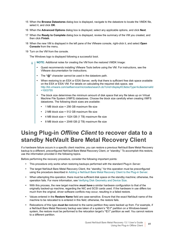- 15 When the **Browse Datastores** dialog box is displayed, navigate to the datastore to locate the VMDK file, select it, and click **OK**.
- 16 When the **Advanced Options** dialog box is displayed, select any applicable options, and click **Next**.
- 17 When the **Ready to Complete** dialog box is displayed, review the summary of the VM you created, and then click **Finish**.
- 18 When the new VM is displayed in the left pane of the VMware console, right-click it, and select **Open Console** from the menu.
- 19 Turn on the VM from the console.

The Windows logo is displayed following a successful boot.

- **NOTE:** Additional notes for creating the VM from the restored VMDK Image: f.
	- **•** Quest recommends installing VMware Tools before using the VM. For instructions, see the VMware documentation for instructions.
	- **•** The **"@"** character cannot be used in the datastore path.
	- **•** When restoring to an ESX or ESXi Server, verify that there is sufficient free disk space available on the ESX or ESXi VM. For details on calculating the required disk space, see [http://kb.vmware.com/selfservice/microsites/search.do?cmd=displayKC&docType=kc&externalId](http://kb.vmware.com/selfservice/microsites/search.do?cmd=displayKC&docType=kc&externalId=1003755) =1003755
	- **•** The block size determines the minimum amount of disk space that any file takes up on Virtual Machine File System (VMFS) datastores. Choose the block size carefully when creating VMFS datastores. The following block sizes are available:
		- **•** 1 MB block size = 256 GB maximum file size
		- **•** 2 MB block size = 512 GB maximum file size
		- **•** 4 MB block size = 1024 GB (1 TB) maximum file size
		- **•** 8 MB block size = 2048 GB (2 TB) maximum file size

### <span id="page-40-1"></span><span id="page-40-0"></span>**Using Plug-in** *Offline Client* **to recover data to a standby NetVault Bare Metal Recovery Client**

If a hardware failure occurs in a specific client machine, you can restore a previous NetVault Bare Metal Recovery backup to a different, preconfigured NetVault Bare Metal Recovery Client, or "standby." To accomplish this restore, use the information provided in the following topics.

Before performing the recovery procedure, consider the following important points:

- **•** This procedure only works when restoring backups performed with the standard Plug-in *Server*.
- **•** The target NetVault Bare Metal Recovery Client, the "standby," for this operation must be preconfigured using the procedure described in [Adding a NetVault Bare Metal Recovery Client to the Plug-in Server.](#page-21-0)
- **•** When attempting this operation, there must be sufficient disk space on the standby machine; otherwise, the operation fails. For more information, see [Verifying Disk Geometry and Device Size.](#page-29-1)
- **•** With this process, the new target machine *must have* a similar hardware configuration to that of the originally backed-up machine, regarding the NIC and SCSI cards used. If the hardware in use differs too much from the original, driver software conflicts may occur, resulting in a failed restore.
- **•** Values entered in the **Restore Name** field are case-sensitive. Ensure that the exact NetVault name of the machine to be relocated to is entered in this field; otherwise, the restore fails.
- **•** Relocations of this type *must be* restored to the same partition they were backed up from. For example, if a NetVault Bare Metal Recovery backup was taken of a system's **"C:\"** partition on a Windows-based system, the restore must be performed to the relocation target's **"C:\"** partition as well. You cannot restore to a different partition.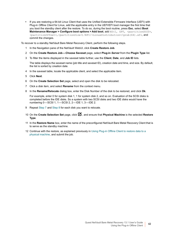**•** If you are restoring a 64-bit Linux Client that uses the Unified Extensible Firmware Interface (UEFI) with Plug-in *Offline Client* for Linux, add the applicable entry in the UEFI/EFI boot manager the first time that you boot the standby client after the restore. To do so, during the boot routine, press **Esc**, select **Boot Maintenance Manager > Configure boot options > Add boot**, add HD(1, GPT, *<partitionGUID>*, *<partitionOffset>*,*<partitionSize>*)/EFI/*<LinuxDistribution>*/grub(64).efi, and commit the changes.

To recover to a standby NetVault Bare Metal Recovery Client, perform the following steps.

- 1 In the Navigation pane of the NetVault WebUI, click **Create Restore Job**.
- 2 On the **Create Restore Job—Choose Saveset** page, select **Plug-in** *Server* from the **Plugin Type** list.
- 3 To filter the items displayed in the saveset table further, use the **Client**, **Date**, and **Job ID** lists.

The table displays the saveset name (job title and saveset ID), creation date and time, and size. By default, the list is sorted by creation date.

- 4 In the saveset table, locate the applicable client, and select the applicable item.
- 5 Click **Next**.
- 6 On the **Create Selection Set** page, select and open the disk to be relocated.
- <span id="page-41-0"></span>7 Click a disk item, and select **Rename** from the context menu.
- <span id="page-41-1"></span>8 In the **Rename/Relocate** dialog box, enter the Disk Number of the disk to be restored, and click **Ok**.

For example, enter 0 for system disk 1, 1 for system disk 2, and so on. Evaluation of the SCSI disks is completed before the IDE disks. So a system with two SCSI disks and two IDE disks would have the numbering 0—SCSI 1, 1—SCSI 2, 2—IDE 1, 3—IDE 2.

- 9 Repeat [Step 7](#page-41-0) and [Step 8](#page-41-1) for each disk you want to relocate.
- 10 On the **Create Selection Set** page, click **1**, and ensure that **Physical Machine** is the selected **Restore Type**.
- 11 In the **Restore Name** box, enter the name of the preconfigured NetVault Bare Metal Recovery Client that is to serve as the standby machine.
- 12 Continue with the restore, as explained previously in [Using Plug-in Offline Client to restore data to a](#page-34-0)  [physical machine,](#page-34-0) and submit the job.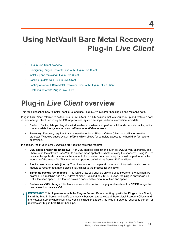## <span id="page-42-0"></span>**Using NetVault Bare Metal Recovery Plug-in** *Live Client*

- **•** [Plug-in Live Client overview](#page-42-1)
- **•** [Configuring Plug-in Server for use with Plug-in Live Client](#page-43-1)
- **•** [Installing and removing Plug-in Live Client](#page-47-0)
- **•** [Backing up data with Plug-in Live Client](#page-50-2)
- **•** [Booting a NetVault Bare Metal Recovery Client with Plug-in Offline Client](#page-54-0)
- **•** [Restoring data with Plug-in Live Client](#page-56-0)

## <span id="page-42-1"></span>**Plug-in** *Live Client* **overview**

This topic describes how to install, configure, and use Plug-in *Live Client* for backing up and restoring data.

Plug-in *Live Client*, referred to as the Plug-in *Live Client*, is a DR solution that lets you back up and restore a hard disk on a target client, including the OS, applications, system settings, partition information, and data.

- **• Backup**: Backup lets you target a Windows-based system, and perform a full and complete backup of its contents while the system remains *online and available* to users.
- **• Recovery**: Recovery requires that you use the included Plug-in *Offline Client* boot utility to take the protected Windows-based system *offline*, which allows for complete access to its hard disk for restore operations.

In addition, the Plug-in *Live Client* also provides the following features:

- **• VSS-based snapshots (Windows)**: For VSS-enabled applications such as SQL Server, Exchange, and SharePoint, the software uses VSS to quiesce these applications before taking the snapshot. Using VSS to quiesce the applications reduces the amount of application crash recovery that must be performed after recovery of the image file. This method is supported on Windows Server 2012 and later.
- **• Block-based snapshots (Linux):** The Linux version of the plug-in uses a block-based snapshot kernel module to recover data at the block level, similar to the process for Windows.
- **• Eliminate backup 'whitespace'**: This feature lets you back up only the used blocks on the partition. For example, if a machine has a **"C:"** drive of size 10 GB and only 6 GB is used, the plug-in only backs up 6 GB, the used space. This feature saves a considerable amount of time and space.
- **• Restore as VMDK Image**: This feature restores the backup of a physical machine to a VMDK Image that can be used to create a VM.
- ÷ **IMPORTANT:** This plug-in works with the **Plug-in Server**. Before backing up with the **Plug-in Live Client**, install the Plug-in Server and verify connectivity between target NetVault Bare Metal Recovery Clients and the NetVault Server where Plug-in Server is installed. In addition, the Plug-in Server is required to perform all restores of **Plug-in Live Client** backups.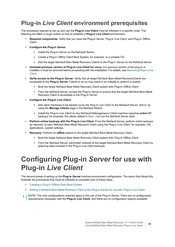## <span id="page-43-0"></span>**Plug-in** *Live Client* **environment prerequisites**

The processes required to set up and use the **Plug-in** *Live Client* must be followed in a specific order. The following list offers a rough outline of how to establish a **Plug-in** *Live Client* environment.

- **• Required components**: Verify that you have the Plug-in *Server*, Plug-in *Live Client*, and Plug-in *Offline Client*.
- **• Configure the Plug-in** *Server***.**
	- **▪** Install the Plug-in *Server* on the NetVault Server.
	- **▪** Create a Plug-in *Offline Client* Boot System, for example, to a writable CD.
	- **▪** Add the target NetVault Bare Metal Recovery Clients to the Plug-in *Server* on the NetVault Server.
- **• Uninstall previous version of Plug-in** *Live Client* **for Linux**: If a previous version of the plug-in is installed, it must be removed before proceeding with the installation. For details, see [Removing Plug-in Live](#page-50-1)  [Client.](#page-50-1)
- **• Verify access to the Plug-in** *Server*: Verify that all target NetVault Bare Metal RecoveryClients are accessible to the **Plug-in** *Server*. Failure to do so may result in an inability to perform a restore.
	- **▪** Boot the target NetVault Bare Metal Recovery Client system with Plug-in *Offline Client*.
	- **From the NetVault Server, access the Plug-in** *Server* **to ensure that the target NetVault Bare Metal** Recovery Client is accessible to the Plug-in *Server*.
- <span id="page-43-2"></span>**• Configure the Plug-in** *Live Client***.**
	- **▪** Add client machines to be backed up by the Plug-in *Live Client* to the NetVault Server; that is, by using the **Manage Clients** page in the NetVault WebUI.
	- **▪** Install the Plug-in *Live Client* on any NetVault Heterogeneous Client machine requiring *active* DR backups, for example, the clients added in Step  $\overline{\cdot}$ , but not the NetVault Server itself.
- **• Perform online backups with the Plug-in** *Live Client*: From the NetVault Server, perform online backups as required, of each NetVault Bare Metal Recovery Client using the Plug-in *Live Client*, for example, OS, applications, system settings.
- **• Recovery**: Perform an *offline* restore to the target NetVault Bare Metal Recovery Client.
	- **▪** Boot the target NetVault Bare Metal Recovery Client system with Plug-in *Offline Client*.
	- **▪** From the NetVault Server, administer restores to the target NetVault Bare Metal Recovery Client by selecting data included in the Plug-in *Live Client* backups.

## <span id="page-43-1"></span>**Configuring Plug-in** *Server* **for use with Plug-in** *Live Client*

The second phase of setting up the **Plug-in** *Server* involves environment configuration. The topics that follow fully illustrate the procedures that must be followed to complete both of these steps.

- **•** [Creating a Plug-in Offline Client Boot System](#page-44-0)
- **•** [Adding a NetVault Bare Metal Recovery Client to the Plug-in Server for use with Plug-in Live Client](#page-46-0)
- **NOTE:** The only configurations required apply to the use of the Plug-in Server. There are no configuration f requirements necessary with the **Plug-in Live Client**, and there are no configuration options available.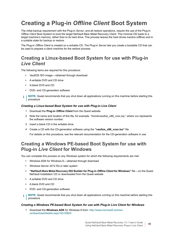## <span id="page-44-0"></span>**Creating a Plug-in** *Offline Client* **Boot System**

The initial backup requirement with the Plug-in *Server*, and all restore operations, require the use of the Plug-in *Offline Client* Boot System to boot the target NetVault Bare Metal Recovery Client. This minimal OS loads to a target machine's memory, rather than to its hard drive. This process leaves the hard drives inactive (offline) and in a suitable state for backup or restore.

The Plug-in *Offline Client* is created on a writable CD. The Plug-in *Server* lets you create a bootable CD that can be used to prepare a client machine for the restore process.

### **Creating a Linux-based Boot System for use with Plug-in**  *Live Client*

The following items are required for this procedure:

- **•** VaultOS ISO image—obtained through download
- **•** A writable DVD and CD drive
- **•** A blank DVD and CD
- **•** DVD- and CD-generation software
- **i** | NOTE: Quest recommends that you shut down all applications running on this machine before starting this procedure

#### *Creating a Linux-based Boot System for use with Plug-in Live Client*

- 1 Download the **Plug-in** *Offline Client* from the Quest website.
- 2 Note the name and location of this file, for example, "\home\vaultos\_x86\_v*xxx*.zip," where *xxx* represents the software version number.
- 3 Insert a blank CD in the writable drive.
- 4 Create a CD with the CD-generation software using the **"vaultos\_x86\_v***xxx***.iso"** file.

For details on this procedure, see the relevant documentation for the CD-generation software in use.

### **Creating a Windows PE-based Boot System for use with Plug-in** *Live Client* **for Windows**

You can complete this process on any Windows system for which the following requirements are met:

- **•** Windows ADK for Windows 8—obtained through download
- **•** Windows Server 2012 R2 or later system
- **• "NetVault Bare Metal Recovery ISO Builder for Plug-in** *Offline Client* **for Windows"** file—on the Quest NetVault Installation CD or downloaded from the Quest website
- **•** A writable DVD and CD drive
- **•** A blank DVD and CD
- **•** DVD- and CD-generation software
- **NOTE:** Quest recommends that you shut down all applications running on this machine before starting this procedure

#### *Creating a Windows PE-based Boot System for use with Plug-in Live Client for Windows*

1 Download the **Windows ADK** for Windows 8 from: [http://www.microsoft.com/en](http://www.microsoft.com/en-us/download/details.aspx?id=30652)[us/download/details.aspx?id=30652](http://www.microsoft.com/en-us/download/details.aspx?id=30652)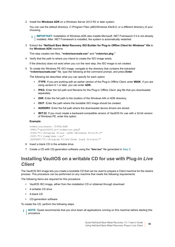2 Install the **Windows ADK** on a Windows Server 2012 R2 or later system.

You can use the default directory, C:\Program Files (x86)\Windows Kits\8.0, or a different directory of your choosing.

- **IMPORTANT:** Installation of Windows ADK also installs Microsoft .NET Framework if it is not already ÷ installed. After .NET Framework is installed, the system is automatically restarted.
- 3 Extract the **"NetVault Bare Metal Recovery ISO Builder for Plug-in** *Offline Client for Windows***" file** to the **Windows ADK** machine.

This step creates two files, **"nvbmrisocreate.exe"** and **"nvbmriso.pkg."**

4 Verify that the path to where you intend to create the ISO image exists.

If the directory does not exist when you run the next step, the ISO image is not created.

<span id="page-45-0"></span>5 To create the Windows PE ISO image, navigate to the directory that contains the extracted **"nvbmrisocreate.exe"** file, type the following at the command prompt, and press **Enter**:

The following list describes what you can specify for each option:

- **▪ /TYPE**: If you are working with an earlier version of the Plug-in *Offline Client*, enter **WAIK**. If you are using version 6.1 or later, you can enter **ADK**.
- **▪ /PKG**: Enter the full path and filename for the Plug-in *Offline Client* .pkg file that you downloaded separately.
- **▪ /DIR**: Enter the full path to the location of the Windows AIK or ADK directory.
- **▪ /OUT**: Enter the path where the bootable ISO image should be created.
- **/ADDDRV**: Enter the full path where the downloaded device drivers are stored.
- **/BIT:32:** If you must create a backward-compatible version of VaultOS for use with a 32-bit version of Windows PE, enter this option.

#### **Example:**

```
nvbmrisocreate /TYPE:ADK
/PKG:"<pathToFile>\nvbmriso.pkg"
/DIR:"C:\Program Files (x86)\Windows Kits\8.0"
/OUT:"C:\temp\bmr.iso"
/ADDDRV:"C:\Program Files\Down Load Drivers\"
```
- 6 Insert a blank CD in the writable drive.
- 7 Create a CD with CD-generation software using the **"bmr.iso"** file generated in [Step 5.](#page-45-0)

### **Installing VaultOS on a writable CD for use with Plug-in** *Live Client*

The VaultOS ISO image lets you create a bootable CD that can be used to prepare a Client machine for the restore process. This procedure can be performed on any machine that meets the following requirements:

The following items are required for this procedure:

- **•** VaultOS ISO image, either from the installation CD or obtained through download
- **•** A writable CD drive
- **•** A blank CD
- **•** CD-generation software

To create the CD, perform the following steps.

**NOTE:** Quest recommends that you shut down all applications running on this machine before starting this procedure

> Quest NetVault Bare Metal Recovery 13.1 User's Guide Using NetVault Bare Metal Recovery Plug-in Live Client **<sup>46</sup>**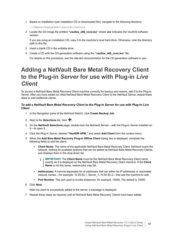1 Based on installation type installation CD or downloaded file), navigate to the following directory:

…\*<OperatingSystem>*\vaultdr\vaultos

2 Locate the CD image file entitled **"vaultos\_x86\_v***xxx***.iso"** where *xxx* indicates the VaultOS software version.

If you are using an installation CD, copy it to the machine's local hard drive. Otherwise, note the directory path to this file.

- 3 Insert a blank CD in the writable drive.
- 4 Create a CD with the CD-generation software using the **"vaultos\_x86\_v***xxx***.iso"** file.

For details on this procedure, see the relevant documentation for the CD-generation software in use.

### <span id="page-46-0"></span>**Adding a NetVault Bare Metal Recovery Client to the Plug-in** *Server* **for use with Plug-in** *Live Client*

To access a NetVault Bare Metal Recovery Client machine correctly for backup and restore, add it to the Plug-in *Server*. After you have added an initial NetVault Bare Metal Recovery Client to the NetVault Server, repeat these steps to add additional clients.

#### *To add a NetVault Bare Metal Recovery Client to the Plug-in Server for use with Plug-in Live Client*

- 1 In the Navigation pane of the NetVault WebUI, click **Create Backup Job**.
- 2 Next to the **Selections** list, click  $\textbf{+}$ .
- 3 On the **NetVault Selections** page, double-click the NetVault Server—with the Plug-in *Server* installed on it—to open it.
- 4 Click the Plug-in *Server*, labeled **"VaultDR APM,"** and select **Add Client** from the context menu.
- 5 When the **Add Bare Metal Recovery Plug-in Offline Client** dialog box is displayed, complete the following fields to add the client:
	- **▪ Client Name**: The name of the applicable NetVault Bare Metal Recovery Client. NetVault scans the network, looking for available systems that can be added as NetVault Bare Metal Recovery Clients, and displays them in the drop-down list.
		- **IMPORTANT:** The **Client Name** must be the NetVault Bare Metal Recovery Client name exactly as it is displayed on the NetVault Bare Metal Recovery Client machine. If the **Client Name** is not the same, restore jobs may fail.
	- **▪ Address(es)**: A comma-separated list of addresses that can either be IP addresses or resolvable network names—for example, 10.55.55.1, Server\_1, 10.55.55.2—that see the machine to add.
	- **▪ Port Number**: The port used to invoke drdaemon, for example, 15555. The default is 10000.
- 6 Click **Next**.

After the client is successfully added to the server, a message is displayed.

7 Repeat these steps as required until all NetVault Bare Metal Recovery Clients have been added.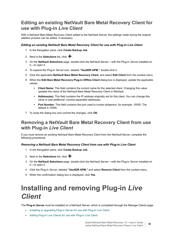### **Editing an existing NetVault Bare Metal Recovery Client for use with Plug-in** *Live Client*

With a NetVault Bare Metal Recovery Client added to the NetVault Server, the settings made during the original addition process can be edited, if necessary.

#### *Editing an existing NetVault Bare Metal Recovery Client for use with Plug-in Live Client*

- 1 In the Navigation pane, click **Create Backup Job**.
- 2 Next to the **Selections** list, click  $\mathbf{\div}$ .
- 3 On the **NetVault Selections** page, double-click the NetVault Server—with the Plug-in *Server* installed on it—to open it.
- 4 To expand the Plug-in *Server* icon, labeled **"VaultDR APM,"** double-click it.
- 5 Click the applicable **NetVault Bare Metal Recovery Client**, and select **Edit Client** from the context menu.
- 6 When the **Edit Bare Metal Recovery Plug-in Offline Client** dialog box is displayed, update the applicable values:
	- **Client Name:** This field contains the current name for the selected client. Changing this value updates the name of the NetVault Bare Metal Recovery Client in NetVault.
	- **▪ Address(es)**: This field contains the IP address originally set for this client. You can change this value or add additional, comma-separated addresses.
	- **▪ Port Number**: This field contains the port used to invoke drdaemon, for example, 15555. The default is 10000.
- 7 To close the dialog box and commit the changes, click **OK**.

#### **Removing a NetVault Bare Metal Recovery Client from use with Plug-in** *Live Client*

If you must remove an existing NetVault Bare Metal Recovery Client from the NetVault Server, complete the following procedures.

#### *Removing a NetVault Bare Metal Recovery Client from use with Plug-in Live Client*

- 1 In the Navigation pane, click **Create Backup Job**.
- 2 Next to the **Selections** list, click  $\mathbf{\div}$ .
- 3 On the **NetVault Selections** page, double-click the NetVault Server—with the Plug-in *Server* installed on it—to open it.
- 4 Click the Plug-in *Server*, labeled **"VaultDR APM,"** and select **Remove Client** from the context menu.
- 5 When the confirmation dialog box is displayed, click **Yes**.

## <span id="page-47-0"></span>**Installing and removing Plug-in** *Live Client*

The **Plug-in** *Server* must be installed on a NetVault Server, which is completed through the Manage Clients page.

- **•** [Installing or upgrading Plug-in Server for use with Plug-in Live Client](#page-48-0)
- **•** [Adding Plug-in Live Clients for use with Plug-in Live Client](#page-49-0)

Quest NetVault Bare Metal Recovery 13.1 User's Guide Using NetVault Bare Metal Recovery Plug-in Live Client **<sup>48</sup>**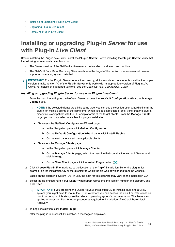- **•** [Installing or upgrading Plug-in Live Client](#page-49-1)
- **•** [Upgrading Plug-in Live Client](#page-50-0)
- **•** [Removing Plug-in Live Client](#page-50-1)

### <span id="page-48-0"></span>**Installing or upgrading Plug-in** *Server* **for use with Plug-in** *Live Client*

Before installing the Plug-in *Live Client*, install the **Plug-in** *Server*. Before installing the **Plug-in** *Server*, verify that the following requirements have been met:

- **•** The Server version of the NetVault software must be installed on at least one machine.
- **•** The NetVault Bare Metal Recovery Client machine—the target of the backup or restore—must have a supported operating system installed.
- **IMPORTANT:** For the Plug-in Server to function correctly, all its associated components must be the proper version; that is, version "X" of the **Plug-in Server** only works with its appropriate version of Plug-in *Live Client*. For details on supported versions, see the *Quest NetVault Compatibility Guide*.

#### *Installing or upgrading Plug-in Server for use with Plug-in Live Client*

- 1 From the machine acting as the NetVault Server, access the **NetVault Configuration Wizard** or **Manage Clients** page.
	- **NOTE:** If the selected clients are all the same type, you can use the configuration wizard to install the ÷. plug-in on multiple clients at the same time. When you select multiple clients, verify that the plug-in binary file is compatible with the OS and platforms of the target clients. From the **Manage Clients**  page, you can only select one client for plug-in installation.
		- **▪** To access the **NetVault Configuration Wizard** page:
			- a In the Navigation pane, click **Guided Configuration**.
			- b On the **NetVault Configuration Wizard** page, click **Install Plugins**.
			- c On the next page, select the applicable clients.
		- **▪** To access the **Manage Clients** page:
			- a In the Navigation pane, click **Manage Clients**.
			- b On the **Manage Clients** page, select the machine that contains the NetVault Server, and click **Manage**.
			- c On the **View Client** page, click the **Install Plugin** button (**A**).
- 2 Click **Choose Plug-in File**, navigate to the location of the **".npk"** installation file for the plug-in, for example, on the installation CD or the directory to which the file was downloaded from the website.

Based on the operating system (OS) in use, the path for this software may vary on the installation CD.

- 3 Select the file entitled **"drc-***x-x-x-x***.npk,"** where **xxxx** represents the version number and platform, and click **Open**.
	- **IMPORTANT:** If you are using the Quest NetVault Installation CD to install a plug-in to a UNIX f. system, you might have to mount the CD drive before you can access the disk. For instructions on how to accomplish this step, see the relevant operating system's documentation. This issue also applies to accessing files for other procedures required for installation of NetVault Bare Metal Recovery.
- 4 To begin installation, click **Install Plugin**.

After the plug-in is successfully installed, a message is displayed.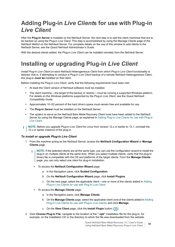## <span id="page-49-0"></span>**Adding Plug-in** *Live Client***s for use with Plug-in**  *Live Client*

After the **Plug-in** *Server* is installed on the NetVault Server, the next step is to add the client machines that are to be backed up using the Plug-in *Live Client*. This step is accomplished by using the Manage Clients page of the NetVault WebUI on the NetVault Server. For complete details on the use of this window to add clients to the NetVault Server, see the *Quest NetVault Administrator's Guide*.

With the desired clients added, the Plug-in *Live Client* can be installed remotely from the NetVault Server.

## <span id="page-49-1"></span>**Installing or upgrading Plug-in** *Live Client*

Install Plug-in *Live Client* on each NetVault Heterogeneous Client from which Plug-in *Live Client* functionality is desired; that is, if attempting to conduct a Plug-in *Live Client* backup of a remote NetVault Heterogeneous Client, this plug-in *must be* installed on that client.

Before installing the Plug-in *Live Client*, verify that the following requirements have been met:

- **•** At least the Client version of NetVault software must be installed.
- **•** The client machine—the target of the backup or restore—must be running a supported Windows platform. For details on the Windows platforms supported by the Plug-in *Live Client*, see the *Quest NetVault Compatibility Guide*.
- **•** Approximately 10–20 percent of the hard drive's space must remain free and available for use.
- **•** The **Plug-in** *Server* must be installed on the NetVault Server.
- **•** The system to serve as the NetVault Bare Metal Recovery Client must have been added to the NetVault Server by using the Manage Clients page, as explained in [Adding Plug-in Live Clients for use with Plug-in](#page-49-0)  [Live Client.](#page-49-0)
- **NOTE:** Before you upgrade Plug-in *Live Client* for Linux from version 12.x or earlier to 13.1, uninstall the 12.x or earlier instance of the plug-in.

#### *To install or upgrade Plug-in Live Client*

- 1 From the machine acting as the NetVault Server, access the **NetVault Configuration Wizard** or **Manage Clients** page.
	- **NOTE:** If the selected clients are all the same type, you can use the configuration wizard to install the î plug-in on multiple clients at the same time. When you select multiple clients, verify that the plug-in binary file is compatible with the OS and platforms of the target clients. From the **Manage Clients**  page, you can only select one client for plug-in installation.
		- **▪** To access the **NetVault Configuration Wizard** page:
			- a In the Navigation pane, click **Guided Configuration**.
			- b On the **NetVault Configuration Wizard** page, click **Install Plugins**.
			- c On the next page, select the applicable client—one or more of the clients added in [Adding](#page-49-0)  [Plug-in Live Clients for use with Plug-in Live Client.](#page-49-0)
		- **▪** To access the **Manage Clients** page:
			- a In the Navigation pane, click **Manage Clients**.
			- b On the **Manage Clients** page, select the applicable client (one of the clients added in [Adding](#page-49-0)  [Plug-in Live Clients for use with Plug-in Live Client\)](#page-49-0), and click **Manage**.
			- c On the **View Client** page, click the **Install Plugin** button (**+**).
- 2 Click **Choose Plug-in File**, navigate to the location of the **".npk"** installation file for the plug-in, for example, on the installation CD or the directory to which the file was downloaded from the website.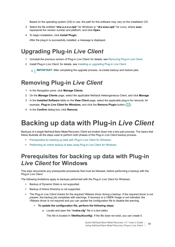Based on the operating system (OS) in use, the path for this software may vary on the installation CD.

- 3 Select the file entitled **"drw-***x-x-x-x***.npk"** for Windows or **"drx-xxxx.npk"** for Linux, where **xxxx** represents the version number and platform, and click **Open**.
- 4 To begin installation, click **Install Plugin**.

After the plug-in is successfully installed, a message is displayed.

### <span id="page-50-0"></span>**Upgrading Plug-in** *Live Client*

- 1 Uninstall the previous version of Plug-in *Live Client*; for details, see [Removing Plug-in Live Client](#page-50-1).
- 2 Install Plug-in *Live Client*; for details, see [Installing or upgrading Plug-in Live Client](#page-49-1).

**i** | **IMPORTANT:** After completing the upgrade process, re-create backup and restore jobs.

### <span id="page-50-1"></span>**Removing Plug-in** *Live Client*

- 1 In the Navigation pane, click **Manage Clients**.
- 2 On the **Manage Clients** page, select the applicable NetVault Heterogeneous Client, and click **Manage**.
- 3 In the **Installed Software** table on the **View Client** page, select the applicable plug-in for removal, for example, **Plug-in** *Live Client* **for Windows**, and click the **Remove Plugin** button ( $\boxed{-}$ ).
- 4 In the **Confirm** dialog box, click **Remove**.

## <span id="page-50-2"></span>**Backing up data with Plug-in** *Live Client*

Backups of a target NetVault Bare Metal Recovery Client are broken down into a two-part process. The topics that follow illustrate all the steps used to perform both phases of the Plug-in *Live Client* backup process.

- **•** [Prerequisites for backing up data with Plug-in Live Client for Windows](#page-50-3)
- **•** [Performing an online backup of data using Plug-in Live Client for Windows](#page-52-0)

### <span id="page-50-3"></span>**Prerequisites for backing up data with Plug-in**  *Live Client* **for Windows**

This topic documents any prerequisite procedures that must be followed, before performing a backup with the Plug-in *Live Client*.

The following limitations apply to backups performed with the Plug-in *Live Client* for Windows:

- **•** Backup of Dynamic Disks is not supported.
- **•** Backup of Active Directory is not supported.
- **•** The Plug-in *Live Client* checks for the required VMware driver during a backup. If the required driver is not present, the backup job completes with warnings. If recovery to a VMDK Image is not intended, the VMware driver is not required and you can update the configuration file to disable the warning.
	- **▪ To update the configuration file, perform the following steps:**
		- a Locate and open the **"nvdrw.cfg"** file in a text editor.

This file is located in **\\NetVault\config\**. If the file does not exist, you can create it.

Quest NetVault Bare Metal Recovery 13.1 User's Guide Using NetVault Bare Metal Recovery Plug-in Live Client **<sup>51</sup>**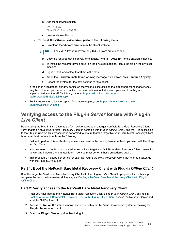b Add the following section:

```
[VM Option]
CheckVmDriver=FALSE
```
- c Save and close the file.
- **▪ To install the VMware device driver, perform the following steps:**
	- a Download the VMware drivers from the Quest website.
	- **i** | NOTE: For VMDK Image recovery, only SCSI drivers are supported.
		- b Copy the required device driver, for example, **"vm\_lsi\_2012.inf,"** to the physical machine.
		- c To install the required device driver on the physical machine, locate the file on the physical machine.
		- d Right-click it, and select **Install** from the menu.
		- e When the **Hardware Installation** warning message is displayed, click **Continue Anyway**.
		- f Reboot the system for the new settings to take effect.
- **•** If the space allocated for shadow copies on the volume is insufficient, the oldest persistent shadow copy may be lost when you perform a backup. For information about shadow copies and how they are implemented, see the MSDN Library page at: [http://msdn.microsoft.com/en](http://msdn.microsoft.com/en-us/library/bb968832(VS.85).aspx)[us/library/bb968832\(VS.85\).aspx](http://msdn.microsoft.com/en-us/library/bb968832(VS.85).aspx)
- **•** For instructions on allocating space for shadow copies, see: [http://technet.microsoft.com/en](http://technet.microsoft.com/en-us/library/cc786104.aspx)[us/library/cc786104.aspx](http://technet.microsoft.com/en-us/library/cc786104.aspx)

### **Verifying access to the Plug-in** *Server* **for use with Plug-in**  *Live Client*

Before using the Plug-in *Live Client* to perform active backups of a target NetVault Bare Metal Recovery Client, verify that the NetVault Bare Metal Recovery Client is bootable with Plug-in *Offline Client*, and that it is accessible to the **Plug-in** *Server*. This procedure is performed to ensure that the target NetVault Bare Metal Recovery Client is accessible at restore time. Note the following:

- **•** Failure to perform this verification process may result in the inability to restore backups taken with the Plugin *Live Client*.
- **•** You only need to perform this procedure *once* for a target NetVault Bare Metal Recovery Client, unless its networking hardware is changed later. If so, you must perform these procedures again.
- **•** This procedure must be performed for each NetVault Bare Metal Recovery Client that is to be backed up with the Plug-in *Live Client*.

#### **Part 1: Boot the NetVault Bare Metal Recovery Client with Plug-in** *Offline Client*

Boot the target NetVault Bare Metal Recovery Client with the Plug-in *Offline Client* to prepare it for the backup. To complete the boot routine, review all the steps in [Booting a NetVault Bare Metal Recovery Client with Plug-in](#page-54-0)  [Offline Client](#page-54-0).

#### **Part 2: Verify access to the NetVault Bare Metal Recovery Client**

- 1 After you have booted the NetVault Bare Metal Recovery Client using Plug-in *Offline Client*, outlined in [Booting a NetVault Bare Metal Recovery Client with Plug-in Offline Client,](#page-54-0) access the NetVault Server and start the NetVault WebUI.
- 2 Access the **NetVault Backup** window, and double-click the NetVault Server—the system containing the **Plug-in** *Server*—to open it.
- 3 Open the **Plug-in** *Server* by double-clicking it.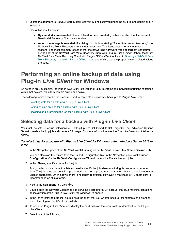4 Locate the appropriate NetVault Bare Metal Recovery Client displayed under the plug-in, and double-click it to open it.

One of two results occurs:

- **System disks are revealed:** If selectable disks are revealed, you have verified that the NetVault Bare Metal Recovery Client is accessible.
- **▪ An error message is revealed**: If a dialog box displays stating **"Failed to connect to client,"** the NetVault Bare Metal Recovery Client is not accessible. This issue occurs for any number of reasons. The most common reason is that the networking hardware was not correctly configured during boot of the NetVault Bare Metal Recovery Client with Plug-in *Offline Client*. Reboot the target NetVault Bare Metal Recovery Client with Plug-in *Offline Client*, outlined in [Booting a NetVault Bare](#page-54-0)  [Metal Recovery Client with Plug-in Offline Client,](#page-54-0) and ensure that the proper network-related values are used.

### <span id="page-52-0"></span>**Performing an online backup of data using Plug-in** *Live Client* **for Windows**

As noted in previous topics, the Plug-in *Live Client* lets you back up full systems and individual partitions contained within that system, while they remain online and active.

The following topics describe the steps required to complete a successful backup with Plug-in *Live Client*:

- **•** [Selecting data for a backup with Plug-in Live Client](#page-52-1)
- **•** [Setting backup options for a backup with Plug-in Live Client](#page-53-0)
- **•** [Finalizing and submitting the job for a backup with Plug-in Live Client](#page-53-1)

#### <span id="page-52-1"></span>**Selecting data for a backup with Plug-in** *Live Client*

You must use sets—Backup Selection Set, Backup Options Set, Schedule Set, Target Set, and Advanced Options Set—to create a backup job and create a DR image. For more information, see the *Quest NetVault Administrator's Guide*.

#### *To select data for a backup with Plug-in Live Client for Windows using Windows Server 2012 or later*

1 In the Navigation pane of the NetVault WebUI running on the NetVault Server, click **Create Backup Job**.

You can also start the wizard from the Guided Configuration link. In the Navigation pane, click **Guided Configuration**. On the **NetVault Configuration Wizard** page, click **Create backup jobs**.

2 In **Job Name**, specify a name for the job.

Assign a descriptive name that lets you easily identify the job when monitoring its progress or restoring data. The job name can contain alphanumeric and non-alphanumeric characters, but it cannot include non-English characters. On Windows, there is no length restriction. However, a maximum of 40 characters is recommended on all platforms.

- 3 Next to the **Selections** list, click  $\textbf{+}$
- 4 Double-click the NetVault Client that is to serve as a target for a DR backup, that is, a machine containing an installation of the Plug-in *Live Client* for Windows, to open it.
- 5 In the list of installed plug-ins, double-click the client that you want to back up, for example, the client on which the Plug-in *Live Client* is installed)
- 6 To open the Plug-in *Live Client* and display the hard disks on the client system, double-click the Plug-in *Live Client*.
- 7 Select one of the following:

Quest NetVault Bare Metal Recovery 13.1 User's Guide Using NetVault Bare Metal Recovery Plug-in Live Client **<sup>53</sup>**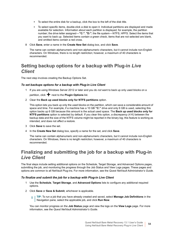- **▪** To select the entire disk for a backup, click the box to the left of the disk title.
- To select specific items, double-click a disk to open it. Individual partitions are displayed and made available for selection. Information about each partition is displayed; for example, the partition number; the drive letter assigned—**"C:"**, **"D:"**; the file system—NTFS, HPFS. Select the items that you want to back up. Selected items contain a green check, items that are not selected are blank, and omitted items contain a red cross.
- 8 Click **Save**, enter a name in the **Create New Set** dialog box, and click **Save**.

The name can contain alphanumeric and non-alphanumeric characters, but it cannot include non-English characters. On Windows, there is no length restriction; however, a maximum of 40 characters is recommended.

### <span id="page-53-0"></span>**Setting backup options for a backup with Plug-in** *Live Client*

The next step involves creating the Backup Options Set.

#### *To set backups options for a backup with Plug-in Live Client*

- 1 If you are using Windows Server 2012 or later and you do *not* want to back up only used blocks on a partition, click **+** next to the **Plugin Options** list.
- 2 Clear the **Back up used blocks only for NTFS partitions** option.

This option lets you back up only the used blocks on the partition, which can save a considerable amount of space and time. For example, if a machine has a 10 GB **"C:"** drive and only 6 GB is used, selecting this option backs up 6 GB because this amount is the actual used space. The **Back up used blocks only for NTFS partitions** option is selected by default. If you clear this option, a discrepancy (4 K) between the backup data and the size of the NTFS volume might be reported in the binary log; this feature is working as intended, and does not affect a restore.

- 3 Click **Save** to save the set.
- 4 In the **Create New Set** dialog box, specify a name for the set, and click **Save**.

The name can contain alphanumeric and non-alphanumeric characters, but it cannot include non-English characters. On Windows, there is no length restriction; however, a maximum of 40 characters is recommended.

#### <span id="page-53-1"></span>**Finalizing and submitting the job for a backup with Plug-in**  *Live Client*

The final steps include setting additional options on the Schedule, Target Storage, and Advanced Options pages, submitting the job, and monitoring the progress through the Job Status and View Logs pages. These pages and options are common to all NetVault Plug-ins. For more information, see the *Quest NetVault Administrator's Guide*.

#### *To finalize and submit the job for a backup with Plug-in Live Client*

- 1 Use the **Schedule**, **Target Storage**, and **Advanced Options** lists to configure any additional required options.
- 2 Click **Save** or **Save & Submit**, whichever is applicable.
	- **TIP:** To run a job that you have already created and saved, select **Manage Job Definitions** in the f. Navigation pane, select the applicable job, and click **Run Now**.

You can monitor progress on the **Job Status** page and view the logs on the **View Logs** page. For more information, see the *Quest NetVault Administrator's Guide*.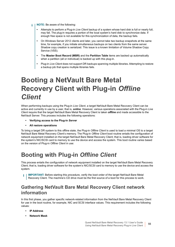- **NOTE:** Be aware of the following: ÷.
	- **•** Attempts to perform a Plug-in *Live Client* backup of a system whose hard disk is full or nearly full, may fail. The plug-in requires a portion of the local system's hard disk to synchronize data. If enough free space is not available for this synchronization of data, the backup fails.
	- **•** On Windows Server 2012 clients and later, you cannot take two backup snapshots at the same time, for example, if you initiate simultaneous backups on two clients from the same server. Shadow copy creation is serialized. This issue is a known limitation of Volume Shadow Copy Service (VSS).
	- **•** The **Master Boot Record (MBR)** and the **Partition Table** items are backed up automatically when a partition (all or individual) is backed up with this plug-in.
	- **•** Plug-in *Live Client* does not support DR backups spanning multiple libraries. Attempting to restore a backup job that spans multiple libraries fails.

## <span id="page-54-0"></span>**Booting a NetVault Bare Metal Recovery Client with Plug-in** *Offline Client*

When performing backups using the Plug-in *Live Client*, a target NetVault Bare Metal Recovery Client can be active and currently in use by a user, that is, *online*. However, various operations associated with the Plug-in *Live Client* require that the target NetVault Bare Metal Recovery Client is taken *offline* and made accessible to the NetVault Server. This process includes the following operations:

- **• Verifying access to the Plug-in** *Server*
- **• All restore operations**

To bring a target DR system to this offline state, the Plug-in *Offline Client* is used to load a minimal OS to a target NetVault Bare Metal Recovery Client's memory. The Plug-in *Offline Client* boot routine entails the configuration of network equipment installed on the target NetVault Bare Metal Recovery Client; that is, loading driver software for the system's NIC/SCSI card to memory to use the device and access the system. This boot routine varies based on the version of Plug-in *Offline Client* in use:

## <span id="page-54-1"></span>**Booting with Plug-in** *Offline Client*

This process entails the configuration of network equipment installed on the target NetVault Bare Metal Recovery Client; that is, loading driver software for the system's NIC/SCSI card to memory to use the device and access the system.

**IMPORTANT:** Before starting this procedure, verify the boot order of the target NetVault Bare Metal f Recovery Client. The machine's CD drive must be the first source of a boot for this process to work.

#### **Gathering NetVault Bare Metal Recovery Client network information**

In this first phase, you gather specific network-related information from the NetVault Bare Metal Recovery Client for use in the boot routine, for example, NIC and SCSI interface values. This requirement includes the following values:

- **• IP Address**
- **• Network Mask**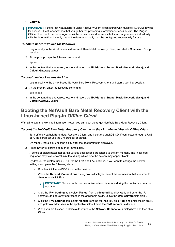- **• Gateway**
- **IMPORTANT:** If the target NetVault Bare Metal Recovery Client is configured with multiple NIC/SCSI devices for access, Quest recommends that you gather the preceding information for *each device*. The Plug-in Offline Client boot routine recognizes *all* these devices and requests that you configure each, individually, with this information, but only one of the devices actually must be configured successfully for use.

#### *To obtain network values for Windows*

- 1 Log in locally to the Windows-based NetVault Bare Metal Recovery Client, and start a Command Prompt session.
- 2 At the prompt, type the following command:

#### ipconfig

3 In the content that is revealed, locate and record the **IP Address**, **Subnet Mask (Network Mask)**, and **Default Gateway** values.

#### *To obtain network values for Linux*

- 1 Log in locally to the Linux-based NetVault Bare Metal Recovery Client and start a terminal session.
- 2 At the prompt, enter the following command:

ifconfig

3 In the content that is revealed, locate and record the **IP Address**, **Subnet Mask (Network Mask)**, and **Default Gateway** values.

#### **Booting the NetVault Bare Metal Recovery Client with the Linux-based Plug-in** *Offline Client*

With all relevant networking information noted, you can boot the target NetVault Bare Metal Recovery Client.

#### *To boot the NetVault Bare Metal Recovery Client with the Linux-based Plug-in Offline Client*

1 Turn off the NetVault Bare Metal Recovery Client, and insert the VaultOS CD; if connected through a USB port, the port must use the 3.0 protocol or earlier.

On reboot, there is a 5-second delay after the boot prompt is displayed.

2 Press **Enter** to start the sequence immediately.

A series of dialog boxes appear as various applications are loaded to system memory. The initial load sequence may take several minutes, during which time the screen may appear blank.

By default, the system uses DHCP for the IPv4 and IPv6 settings. If you want to change the network settings, complete the following steps:

- a Double-click the **NetCFG** icon on the desktop.
- b When the **Network Connections** dialog box is displayed, select the connection that you want to change, and click **Edit**.

**IMPORTANT:** You can only use one active network interface during the backup and restore i. operation.

- c Click the **IPv4 Settings** tab, select **Manual** from the **Method** list, click **Add**, and enter the IP, netmask, and gateway addresses in the applicable fields. Leave the **DNS servers** field blank.
- d Click the **IPv6 Settings** tab, select **Manual** from the **Method** list, click **Add**, and enter the IP, prefix, and gateway addresses in the applicable fields. Leave the **DNS servers** field blank.
- e When you are finished, click **Save** to return to the **Network Connections** dialog box, and then click **Close**.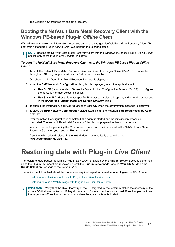The Client is now prepared for backup or restore.

### **Booting the NetVault Bare Metal Recovery Client with the Windows PE-based Plug-in** *Offline Client*

With all relevant networking information noted, you can boot the target NetVault Bare Metal Recovery Client. To boot from a standard Plug-in *Offline Client* CD, perform the following steps.

**NOTE:** Booting the NetVault Bare Metal Recovery Client with the Windows PE-based Plug-in *Offline Client* applies only to the Plug-in *Live Client* for Windows.

#### *To boot the NetVault Bare Metal Recovery Client with the Windows PE-based Plug-in Offline Client*

1 Turn off the NetVault Bare Metal Recovery Client, and insert the Plug-in *Offline Client* CD; if connected through a USB port, the port must use the 3.0 protocol or earlier.

On reboot, the NetVault Bare Metal Recovery interface is displayed.

- 2 When the **BMR Network Configuration** dialog box is displayed, select the applicable option:
	- **▪ Use DHCP** (recommended): To use the Dynamic Host Configuration Protocol (DHCP) to configure the network interface, select this option.
	- **▪ Use Static IP Address**: To enter specific IP addresses, select this option, and enter the addresses in the **IP Address**, **Subnet Mask**, and **Default Gateway** fields.
- 3 To submit the information, click **Config**, and then click **OK** when the confirmation message is displayed.
- 4 To close the **BMR Network Configuration** dialog box and start the **NetVault Bare Metal Recovery Agent**, click **Exit**.

After the network configuration is completed, the agent is started and the initialization process is completed. The NetVault Bare Metal Recovery Client is now prepared for backup or restore.

You can use the list preceding the **Run** button to output information related to the NetVault Bare Metal Recovery GUI when you issue the **Run** command.

Also, the information displayed in the text window is automatically exported to the **"x:\questbmr\bmr\_gui.log"** file.

## <span id="page-56-0"></span>**Restoring data with Plug-in** *Live Client*

The restore of data backed up with the Plug-in *Live Client* is handled by the **Plug-in** *Server***.** Backups performed using the Plug-in *Live Client* are revealed beneath the **Plug-in** *Server* node, labeled "**VaultDR APM,**" on the **Create Selection Set** page of the NetVault WebUI.

The topics that follow illustrate all the procedures required to perform a restore of a Plug-in *Live Client* backup.

- **•** [Restoring to a physical machine with Plug-in Live Client for Windows](#page-57-0)
- **•** [Restoring data as a VMDK Image with Plug-in Live Client for Windows](#page-60-0)
- **IMPORTANT:** Verify that the Disk Geometry of the OS targeted by the restore matches the geometry of the  $\ddot{\bullet}$ source OS that was backed up. If they do not match, for example, the source used 32 sectors per track, and the target uses 63 sectors, an error occurs when the system attempts to start.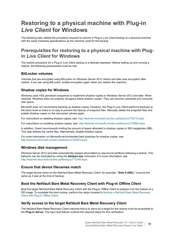### <span id="page-57-0"></span>**Restoring to a physical machine with Plug-in**  *Live Client* **for Windows**

The following topic details the procedure required to recover a Plug-in *Live Client* backup to a physical machine with the same hardware specifications as the machine used for the backup.

#### **Prerequisites for restoring to a physical machine with Plugin** *Live Client* **for Windows**

The restore procedure for a Plug-in *Live Client* backup is a delicate operation. Before setting up and running a restore, the following prerequisites must be met.

#### **BitLocker volumes**

Volumes that are encrypted using BitLocker on Windows Server 2012 clients and later lose encryption after restore. If you are using BitLocker, enable encryption again when you restore the machine.

#### **Shadow copies for Windows**

Windows uses VSS persistent snapshots to implement shadow copies in Windows Server 2012 and later. When restored, Windows does not properly recognize these shadow copies. They can become orphaned and consume disk space.

Microsoft does not recommend backing up shadow copies. However, the Plug-in *Live Client* performs backups at the block level so there is no way to prevent the backup of snapshot files. Manually delete the snapshot files and enable shadow copies on the recovered volume again.

For instructions on deleting shadow copies, see:<http://technet.microsoft.com/en-us/library/cc776119.aspx>

For instructions on enabling shadow copies, see: <http://technet.microsoft.com/en-us/library/cc776483.aspx>

In addition, Quest recommends limiting the amount of space allocated to shadow copies to 300 megabytes (MB). This step deletes the cache files. Alternatively, disable shadow copies.

For more information on Microsoft-recommended best practices for shadow copies, see: <http://technet.microsoft.com/en-us/library/cc753975.aspx>

#### **Windows disk management**

Windows Server 2012 and later automatically assigns drive letters to new-found partitions following a restore. This behavior can be controlled by using the **diskpart.exe** command. For more information, see <http://technet.microsoft.com/en-us/library/cc773140.aspx>.

#### **Ensure that device filenames match**

The target device name on the NetVault Bare Metal Recovery Client, for example, **"Disk 0 (IDE),"** must be the same as it was at the time of backup.

#### **Boot the NetVault Bare Metal Recovery Client with Plug-in** *Offline Client*

Boot the target NetVault Bare Metal Recovery Client with the Plug-in *Offline Client* to prepare it for the restore of a DR image. To complete the boot routine, perform the steps covered in Booting a NetVault Bare Metal Recovery [Client with Plug-in Offline Client.](#page-54-0)

#### **Verify access to the target NetVault Bare Metal Recovery Client**

The NetVault Bare Metal Recovery Client machine that is to serve as a target for the restore must be accessible to the **Plug-in** *Server*. The topic that follows outlines the required steps for this verification.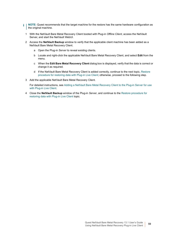- **NOTE:** Quest recommends that the target machine for the restore has the same hardware configuration as ÷ the original machine.
	- 1 With the NetVault Bare Metal Recovery Client booted with Plug-in *Offline Client*, access the NetVault Server, and start the NetVault WebUI.
	- 2 Access the **NetVault Backup** window to verify that the applicable client machine has been added as a NetVault Bare Metal Recovery Client.
		- a Open the Plug-in *Server* to reveal existing clients.
		- b Locate and right-click the applicable NetVault Bare Metal Recovery Client, and select **Edit** from the menu.
		- c When the **Edit Bare Metal Recovery Client** dialog box is displayed, verify that the data is correct or change it as required.
		- d If the NetVault Bare Metal Recovery Client is added correctly, continue to the next topic, [Restore](#page-59-0)  [procedure for restoring data with Plug-in Live Client;](#page-59-0) otherwise, proceed to the following step.
	- 3 Add the applicable NetVault Bare Metal Recovery Client.

For detailed instructions, see [Adding a NetVault Bare Metal Recovery Client to the Plug-in Server for use](#page-46-0)  [with Plug-in Live Client.](#page-46-0)

4 Close the **NetVault Backup** window of the Plug-in *Server*, and continue to the [Restore procedure for](#page-59-0)  [restoring data with Plug-in Live Client](#page-59-0) topic.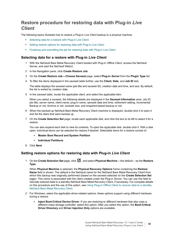### <span id="page-59-0"></span>**Restore procedure for restoring data with Plug-in** *Live Client*

The following topics illustrate how to restore a Plug-in *Live Client* backup to a physical machine.

- **•** [Selecting data for a restore with Plug-in Live Client](#page-59-1)
- **•** [Setting restore options for restoring data with Plug-in Live Client](#page-59-2)
- **•** [Finalizing and submitting the job for restoring data with Plug-in Live Client](#page-60-1)

#### <span id="page-59-1"></span>**Selecting data for a restore with Plug-in** *Live Client*

- 1 With the NetVault Bare Metal Recovery Client booted with Plug-in *Offline Client*, access the NetVault Server, and start the NetVault WebUI.
- 2 In the Navigation pane, click **Create Restore Job**.
- 3 On the **Create Restore Job—Choose Saveset** page, select **Plug-in** *Server* from the **Plugin Type** list.
- 4 To filter the items displayed in the saveset table further, use the **Client**, **Date**, and **Job ID** lists.

The table displays the saveset name (job title and saveset ID), creation date and time, and size. By default, the list is sorted by creation date.

5 In the saveset table, locate the applicable client, and select the applicable item.

When you select a saveset, the following details are displayed in the **Saveset Information** area: Job ID, job title, server name, client name, plug-in name, saveset date and time, retirement setting, Incremental Backup or not, Archive or not, saveset size, and snapshot-based backup or not.

- 6 When the backed-up NetVault Bare Metal Recovery Client machine is displayed, double-click it to open it and list the disks that were backed up.
- 7 On the **Create Selection Set** page, locate each applicable disk, and click the box to its left to select it for a restore.

You can also expand each disk to view its contents. To open the applicable disk, double-click it. With a disk open, individual items can be selected for restore if desired. Selectable items for a restore consist of:

- **▪ Master Boot Record and System Partition**
- **▪ Individual Partitions**
- 8 Click **Next**.

#### <span id="page-59-2"></span>**Setting restore options for restoring data with Plug-in** *Live Client*

1 On the **Create Selection Set** page, click , and select **Physical Machine**—the default—as the **Restore Type**.

When **Physical Machine** is selected, the **Physical Recovery Options** frame containing the **Restore Name** field is shown. The default is the NetVault name for the NetVault Bare Metal Recovery Client from which this backup was originally performed (based on the saveset selected on the **Create Selection Set** page). This name is associated with the client created under the Plug-in *Server*. You can use this field to relocate restored data to a standby NetVault Bare Metal Recovery Client, if necessary. For complete details on this procedure and the use of this option, see [Using Plug-in Offline Client to recover data to a standby](#page-40-1)  [NetVault Bare Metal Recovery Client](#page-40-1).

- 2 For Windows, select the applicable driver-related options; these options support using different hardware during a restore:
	- **▪ Inject Boot-Critical Device Driver**: If you are restoring to different hardware that also uses a different mass storage controller, select this option. After you select this option, the **Boot-Critical Driver Directory** and **Driver Injection Only** options are available.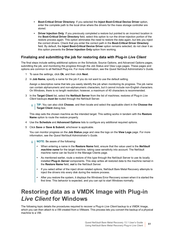- **▪ Boot-Critical Driver Directory**: If you selected the **Inject Boot-Critical Device Driver** option, enter the complete path to the local drive where the drivers for the mass storage controller are stored.
- **Driver Injection Only:** If you previously completed a restore but pointed to an incorrect location in the **Boot-Critical Driver Directory** field, select this option to run the driver-injection portion of the restore process again. This option eliminates the need to restore the data again, but lets you inject the correct drivers. Check that you enter the correct path in the **Boot-Critical Driver Directory** field. By default, the **Inject Boot-Critical Device Driver** option remains selected; do not clear it as this option prevents the **Driver Injection Only** option from working.

#### <span id="page-60-1"></span>**Finalizing and submitting the job for restoring data with Plug-in** *Live Client*

The final steps include setting additional options on the Schedule, Source Options, and Advanced Options pages, submitting the job, and monitoring the progress through the Job Status and View Logs pages. These pages and options are common to all NetVault Plug-ins. For more information, see the *Quest NetVault Administrator's Guide*.

- 1 To save the settings, click **Ok**, and then click **Next**.
- 2 In **Job Name**, specify a name for the job if you do not want to use the default setting.

Assign a descriptive name that lets you easily identify the job when monitoring its progress. The job name can contain alphanumeric and non-alphanumeric characters, but it cannot include non-English characters. On Windows, there is no length restriction; however, a maximum of 40 characters is recommended.

3 In the **Target Client** list, select the **NetVault Server** from the list of machines; restores of Plug-in *Live Client* backups *must be* routed through the NetVault Server.

**TIP:** You can also click **Choose**, and then locate and select the applicable client in the **Choose the Target Client** dialog box.

This step sets the chosen machine as the intended target. This setting works in tandem with the **Restore Name** option to route the restore properly.

- 4 Use the **Schedule** and **Advanced Options** lists to configure any additional required options.
- 5 Click **Save** or **Save & Submit**, whichever is applicable.

You can monitor progress on the **Job Status** page and view the logs on the **View Logs** page. For more information, see the *Quest NetVault Administrator's Guide*.

- **NOTE:** Be aware of the following: f.
	- **•** When entering a name in the **Restore Name** field, ensure that the value used is the *NetVault machine name* for the target machine, taking case sensitivity into account. The NetVault machine name can be found in the Manage Clients page.
	- **•** As mentioned earlier, route a restore of this type through the NetVault Server to use its locally installed **Plug-in** *Server* components. This step writes all restored data to the machine named in the **Restore Name** field, *not* to the NetVault Server.
	- **•** If you select either of the inject driver-related options, NetVault Bare Metal Recovery attempts to inject the drivers into every disk during the restore process.
	- **•** After you restore the system, it displays the Windows Error Recovery screen when it is started the first time. This behavior is expected, and you can opt to start Windows normally.

### <span id="page-60-0"></span>**Restoring data as a VMDK Image with Plug-in**  *Live Client* **for Windows**

The following topic details the procedures required to recover a Plug-in *Live Client* backup to a VMDK Image, which you can then attach to a VM created from a VMware. This process lets you convert the backup of a physical machine to a VM.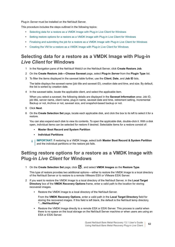Plug-in *Server* must be installed on the NetVault Server.

This procedure includes the steps outlined in the following topics:

- **•** [Selecting data for a restore as a VMDK Image with Plug-in Live Client for Windows](#page-61-0)
- **•** [Setting restore options for a restore as a VMDK Image with Plug-in Live Client for Windows](#page-61-1)
- **•** [Finalizing and submitting the job for a restore as a VMDK Image with Plug-in Live Client for Windows](#page-62-0)
- **•** [Creating the VM for a restore as a VMDK Image with Plug-in Live Client for Windows](#page-62-1)

### <span id="page-61-0"></span>**Selecting data for a restore as a VMDK Image with Plug-in**  *Live Client* **for Windows**

- 1 In the Navigation pane of the NetVault WebUI on the NetVault Server, click **Create Restore Job**.
- 2 On the **Create Restore Job—Choose Saveset** page, select **Plug-in** *Server* from the **Plugin Type** list.
- 3 To filter the items displayed in the saveset table further, use the **Client**, **Date**, and **Job ID** lists.

The table displays the saveset name (job title and saveset ID), creation date and time, and size. By default, the list is sorted by creation date.

4 In the saveset table, locate the applicable client, and select the applicable item.

When you select a saveset, the following details are displayed in the **Saveset Information** area: Job ID, job title, server name, client name, plug-in name, saveset date and time, retirement setting, Incremental Backup or not, Archive or not, saveset size, and snapshot-based backup or not.

- 5 Click **Next**.
- 6 On the **Create Selection Set** page, locate each applicable disk, and click the box to its left to select it for a restore.

You can also expand each disk to view its contents. To open the applicable disk, double-click it. With a disk open, individual items can be selected for restore if desired. Selectable items for a restore consist of:

- **▪ Master Boot Record and System Partition**
- **▪ Individual Partitions**

**i** | IMPORTANT: If restoring to a VMDK Image, select both Master Boot Record & System Partition and the individual partitions or the restore job fails.

#### <span id="page-61-1"></span>**Setting restore options for a restore as a VMDK Image with Plug-in** *Live Client* **for Windows**

1 On the **Create Selection Set** page, click , and select **VMDK Images** as the **Restore Type**.

This type of restore provides two additional options—either to restore the VMDK Image to a local directory of the NetVault Server or to restore to a remote VMware ESX or VMware ESXi Server.

- 2 If you want to restore the VMDK Image to a local directory of the NetVault Server, in the **Local Target Directory** box of the **VMDK Recovery Options** frame, enter a valid path to the location for storing recovered images.
	- **▪** Restore the VMDK Image to a local directory of the NetVault Server.

From the **VMDK Recovery Options**, enter a valid path in the **Local Target Directory** field for storing the recovered images. If this field is left blank, the default is the NetVault temp directory, **"…/NetVault/tmp"**.

**■ Restore the VMDK Image directly to a remote ESX or ESXi Server. This process is useful when** there is no space on the local storage on the NetVault Server machine or when users are using an ESX or ESXi Server.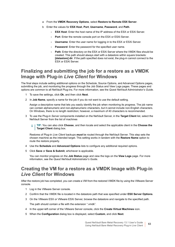- a From the **VMDK Recovery Options**, select **Restore to Remote ESX Server**.
- b Enter the values for **ESX Host**, **Port**, **Username**, **Password**, and **Path**.
	- **ESX Host:** Enter the host name of the IP address of the ESX or ESXi Server.
	- **- Port**: Enter the remote console port on the ESX or ESXi Server.
	- **- Username**: Enter the user name for logging in to the ESX or ESXi Server.
	- **- Password**: Enter the password for the specified user name.
	- **- Path**: Enter the directory on the ESX or ESXi Server where the VMDK files should be created. This path should always start with a datastore within square brackets: **[datastore] dir**. If the path specified does not exist, the plug-in cannot connect to the ESX or ESXi Server.

#### <span id="page-62-0"></span>**Finalizing and submitting the job for a restore as a VMDK Image with Plug-in** *Live Client* **for Windows**

The final steps include setting additional options on the Schedule, Source Options, and Advanced Options pages, submitting the job, and monitoring the progress through the Job Status and View Logs pages. These pages and options are common to all NetVault Plug-ins. For more information, see the *Quest NetVault Administrator's Guide*.

- 1 To save the settings, click **Ok**, and then click **Next**.
- 2 In **Job Name**, specify a name for the job if you do not want to use the default setting.

Assign a descriptive name that lets you easily identify the job when monitoring its progress. The iob name can contain alphanumeric and non-alphanumeric characters, but it cannot include non-English characters. On Windows, there is no length restriction; however, a maximum of 40 characters is recommended.

3 To use the Plug-in *Server* components installed on the NetVault Server, in the **Target Client** list, select the NetVault Server from the list of machines

**TIP:** You can also click **Choose**, and then locate and select the applicable client in the **Choose the**  i. **Target Client** dialog box.

Restores of Plug-in *Live Client* backups *must* be routed through the NetVault Server. This step sets the chosen machine as the intended target. This setting works in tandem with the **Restore Name** option to route the restore properly.

- 4 Use the **Schedule** and **Advanced Options** lists to configure any additional required options.
- 5 Click **Save** or **Save & Submit**, whichever is applicable.

You can monitor progress on the **Job Status** page and view the logs on the **View Logs** page. For more information, see the *Quest NetVault Administrator's Guide*.

#### <span id="page-62-1"></span>**Creating the VM for a restore as a VMDK Image with Plug-in**  *Live Client* **for Windows**

After the restore job has completed, you can create a VM from the restored VMDK file by using the VMware Server console.

- 1 Log in the VMware Server console.
- 2 Confirm that the VMDK file is located in the datastore path that was specified under **ESX Server Options**.
- 3 On the VMware ESX or VMware ESXi Server, browse the datastore and navigate to the specified path. The path should contain a file with the extension ".vmdk".
- 4 In the upper-left corner of the VMware Server console, click the **Create Virtual Machines** icon.
- 5 When the **Configuration** dialog box is displayed, select **Custom**, and click **Next**.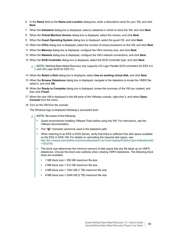- 6 In the **Name** field on the **Name and Location** dialog box, enter a descriptive name for your VM, and click **Next**.
- 7 When the **Datastore** dialog box is displayed, select a datastore in which to store the VM, and click **Next**.
- 8 When the **Virtual Machine Version** dialog box is displayed, select the version, and click **Next**.
- 9 When the **Guest Operating System** dialog box is displayed, select the guest OS, and click **Next**.
- 10 When the **CPUs** dialog box is displayed, select the number of virtual processors on the VM, and click **Next**.
- 11 When the **Memory** dialog box is displayed, configure the VM's memory size, and click **Next**.
- 12 When the **Network** dialog box is displayed, configure the VM's network connections, and click **Next**.
- 13 When the **SCSI Controller** dialog box is displayed, select the SCSI Controller type, and click **Next**.
	- **NOTE:** NetVault Bare Metal Recovery only supports LSI Logic Parallel SCSI controllers for ESX 4.0 and LSI Logic SCSI for ESX 3.5.
- 14 When the **Select a Disk** dialog box is displayed, select **Use an existing virtual disk**, and click **Next**.
- 15 When the **Browse Datastores** dialog box is displayed, navigate to the datastore to locate the VMDK file, select it, and click **OK**.
- 16 When the **Ready to Complete** dialog box is displayed, review the summary of the VM you created, and then click **Finish**.
- 17 When the new VM is displayed in the left pane of the VMware console, right-click it, and select **Open Console** from the menu.
- 18 Turn on the VM from the console.

The Windows logo is displayed following a successful boot.

- **NOTE:** Be aware of the following: f.
	- **•** Quest recommends installing VMware Tools before using the VM. For instructions, see the VMware documentation.
	- **•** The **"@"** character cannot be used in the datastore path.
	- **•** When restoring to an ESX or ESXi Server, verify that there is sufficient free disk space available on the ESX or ESXi VM. For details on calculating the required disk space, see: [http://kb.vmware.com/selfservice/microsites/search.do?cmd=displayKC&docType=kc&externalId](http://kb.vmware.com/selfservice/microsites/search.do?cmd=displayKC&docType=kc&externalId=1003755) =1003755
	- **•** The block size determines the minimum amount of disk space that any file takes up on VMFS datastores. Choose the block size carefully when creating VMFS datastores. The following block sizes are available:
		- **•** 1 MB block size = 256 GB maximum file size
		- **•** 2 MB block size = 512 GB maximum file size
		- **•** 4 MB block size = 1024 GB (1 TB) maximum file size
		- **•** 8 MB block size = 2048 GB (2 TB) maximum file size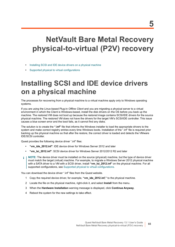## <span id="page-64-2"></span><span id="page-64-0"></span>**NetVault Bare Metal Recovery physical-to-virtual (P2V) recovery**

- **•** [Installing SCSI and IDE device drivers on a physical machine](#page-64-1)
- **•** [Supported physical to virtual configurations](#page-65-0)

## <span id="page-64-1"></span>**Installing SCSI and IDE device drivers on a physical machine**

The processes for recovering from a physical machine to a virtual machine apply only to Windows operating systems.

If you are using the Linux-based Plug-in *Offline Client* and you are migrating a physical server to a virtual environment in which the Client is Windows-based, install the disk drivers on the OS before you back up the machine. The restored VM does not boot up because the restored image contains SCSI/IDE drivers for the source physical machine. The restored VM does not have the drivers for the target VM's SCSI/IDE controller. This issue causes a blue screen error and the boot fails, as it cannot find any disks.

The solution is to create the **".inf"** file that informs the Windows installer to load the appropriate drivers to the system and make correct registry entries every time Windows boots. Installation of the ".inf" file is required prior backing up the physical machine so that after the restore, the correct driver is loaded and detects the VMware IDE/SCSI controller.

Quest provides the following device driver ".inf" files:

- **• "vm\_ide\_2012.inf"**: IDE device driver for Windows Server 2012 and later
- **• "vm\_lsi\_2012.inf"**: SCSI device driver for Windows Server 2012/2012 R2 and later
- **NOTE:** The device driver must be installed on the source (physical) machine, but the type of device driver  $\mathbf i$ must match the target (virtual) machine. For example, to migrate a Windows Server 2012 physical machine with a SATA driver to a VM with a SCSI driver, install "**vm Isi 2012.inf"** on the physical machine. For all supported configurations, see [Supported physical to virtual configurations.](#page-65-0)

You can download the device driver ".inf" files from the Quest website.

- 1 Copy the required device driver, for example, **"vm\_ide\_2012.inf,"** to the physical machine.
- 2 Locate the file on the physical machine, right-click it, and select **Install** from the menu.
- 3 When the **Hardware Installation** warning message is displayed, click **Continue Anyway**.
- 4 Reboot the system for the new settings to take effect.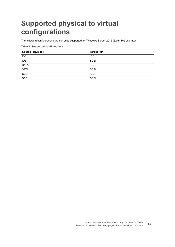## <span id="page-65-0"></span>**Supported physical to virtual configurations**

The following configurations are currently supported for Windows Server 2012 (32/64-bit) and later.

**Table 1. Supported configurations**

| Source (physical) | Target (VM) |
|-------------------|-------------|
| IDE               | <b>IDE</b>  |
| IDE               | SCSI        |
| <b>SATA</b>       | IDE.        |
| <b>SATA</b>       | SCSI        |
| SCSI              | IDE         |
| SCSI              | SCSI        |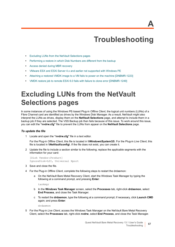## **Troubleshooting**

- <span id="page-66-0"></span>**•** [Excluding LUNs from the NetVault Selections pages](#page-66-1)
- **•** [Performing a restore in which Disk Numbers are different from the backup](#page-67-0)
- **•** [Access denied during MBR recovery](#page-67-1)
- **•** [VMware ESX and ESXi Server 4.x and earlier not supported with Windows PE](#page-67-2)
- **•** [Attaching a restored VMDK image to a VM fails to power on the machine \[DNBMR-1223\]](#page-68-0)
- **•** [VMDK restore job to remote ESXi 6.0 fails with failure to clone error \[DNBMR-1249\]](#page-68-1)

## <span id="page-66-1"></span>**Excluding LUNs from the NetVault Selections pages**

In some instances of using the Windows PE-based Plug-in *Offline Client*, the logical unit numbers (LUNs) of a Fibre Channel card are identified as drives by the Windows Disk Manager. As a result, NetVault might also interpret the LUNs as drives, display them on the **NetVault Selections** page, and attempt to include them in a backup job if they are selected. The VSS Backup job then fails because of this issue. To work around this issue, you can edit the **"nvdrw.cfg"** file to prevent the LUNs from appear on the **NetVault Selections** page.

#### *To update the file*

1 Locate and open the **"nvdrw.cfg"** file in a text editor.

For the Plug-in *Offline Client*, this file is located in **\\Windows\System32\**. For the Plug-in *Live Client*, this file is located in **\\NetVault\config\**. If the file does not exist, you can create it.

2 Update the file to include a section similar to the following; replace the applicable segments with the information for your card:

```
[Disk Vendor:Product]
IgnoreDisk=LSI, Universal Xport
```
- 3 Save and close the file.
- 4 For the Plug-in *Offline Client*, complete the following steps to restart the drdaemon:
	- a On the NetVault Bare Metal Recovery Client, start the Windows Task Manager by typing the following at a command prompt, and pressing **Enter**:

taskmgr

- b In the **Windows Task Manager** screen, select the **Processes** tab, right-click **drdaemon**, select **End Process**, and close the Task Manager.
- c To restart the **drdaemon**, type the following at a command prompt; if necessary, click **Launch CMD** again; and press **Enter**:

drdaemon

5 For the Plug-in *Live Client*, access the Windows Task Manager on the NetVault Bare Metal Recovery Client, select the **Processes** tab, right-click **nvdrw**, select **End Process**, and close the Task Manager.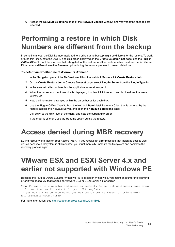6 Access the **NetVault Selections** page of the **NetVault Backup** window, and verify that the changes are reflected.

## <span id="page-67-3"></span><span id="page-67-0"></span>**Performing a restore in which Disk Numbers are different from the backup**

In some instances, the Disk Number assigned to a drive during backup might be different for the restore. To work around this issue, note the Disk ID and disk order displayed on the **Create Selection Set** page, use the **Plug-in**  *Offline Client* to boot the machine that is targeted for the restore, and then note whether the disk order is different. If the order is different, use the **Rename** option during the restore process to prevent data loss.

#### *To determine whether the disk order is different*

- 1 In the Navigation pane of the NetVault WebUI on the NetVault Server, click **Create Restore Job**.
- 2 On the **Create Restore Job—Choose Saveset** page, select **Plug-in** *Server* from the **Plugin Type** list.
- 3 In the saveset table, double-click the applicable saveset to open it.
- 4 When the backed-up client machine is displayed, double-click it to open it and list the disks that were backed up.
- 5 Note the information displayed within the parentheses for each disk.
- 6 Use the Plug-in *Offline Client* to boot the NetVault Bare Metal Recovery Client that is targeted by the restore, access the NetVault Server, and open the **NetVault Selections** page.
- 7 Drill down to the disk-level of the client, and note the current disk order.

If the order is different, use the Rename option during the restore.

## <span id="page-67-1"></span>**Access denied during MBR recovery**

During recovery of a Master Boot Record (MBR), if you receive an error message that indicates access was denied because a filesystem is still mounted, you must manually unmount the filesystem and complete the recovery process again.

## <span id="page-67-2"></span>**VMware ESX and ESXi Server 4.x and earlier not supported with Windows PE**

Because the Plug-in *Offline Client* for Windows PE is based on Windows 8, you might encounter the following error if you boot a VM that resides on VMware ESX or ESXi Server 4.x or earlier:

Your PC ran into a problem and needs to restart. We're just collecting some error info, and then we'll restart for you. (0% complete) If you would like to know more, you can search online later for this error: HAL INITIALIZATION FAILED

For more information, see [http://support.microsoft.com/kb/2814803.](http://support.microsoft.com/kb/2814803)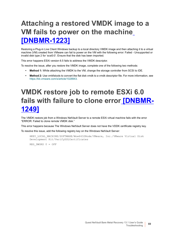## <span id="page-68-0"></span>**Attaching a restored VMDK image to a VM fails to power on the machine [DNBMR-1223]**

Restoring a Plug-in Live Client Windows backup to a local directory VMDK image and then attaching it to a virtual machine (VM) created from VMware can fail to power on the VM with the following error: Failed - Unsupported or invalid disk type 2 for 'scsi0:0'. Ensure that the disk has been imported.

This error happens ESXi version 6.5 fails to address the VMDK descriptor.

To resolve the issue, after you restore the VMDK image, complete one of the following two methods:

- **• Method 1:** While attaching the VMDK to the VM, change the storage controller from SCSI to IDE.
- **• Method 2:** Use vmkfstools to convert the flat disk vmdk to a vmdk descriptor file. For more information, see [https://kb.vmware.com/s/article/1028943.](https://kb.vmware.com/s/article/1028943)

## <span id="page-68-1"></span>**VMDK restore job to remote ESXi 6.0 fails with failure to clone error [DNBMR-1249]**

The VMDK restore job from a Windows NetVault Server to a remote ESXi virtual machine fails with the error "ERROR: Failed to clone remote VMDK disk."

This error happens because The Windows NetVault Server does not have the VDDK certificate registry key.

To resolve this issue, add the following registry key on the Windows NetVault Server:

```
HKEY_LOCAL_MACHINE/SOFTWARE/Wow6432Node/VMware, Inc./VMware Virtual Disk
Development Kit/VerifySSLCertificates
```
REG DWORD  $0 = OFF$